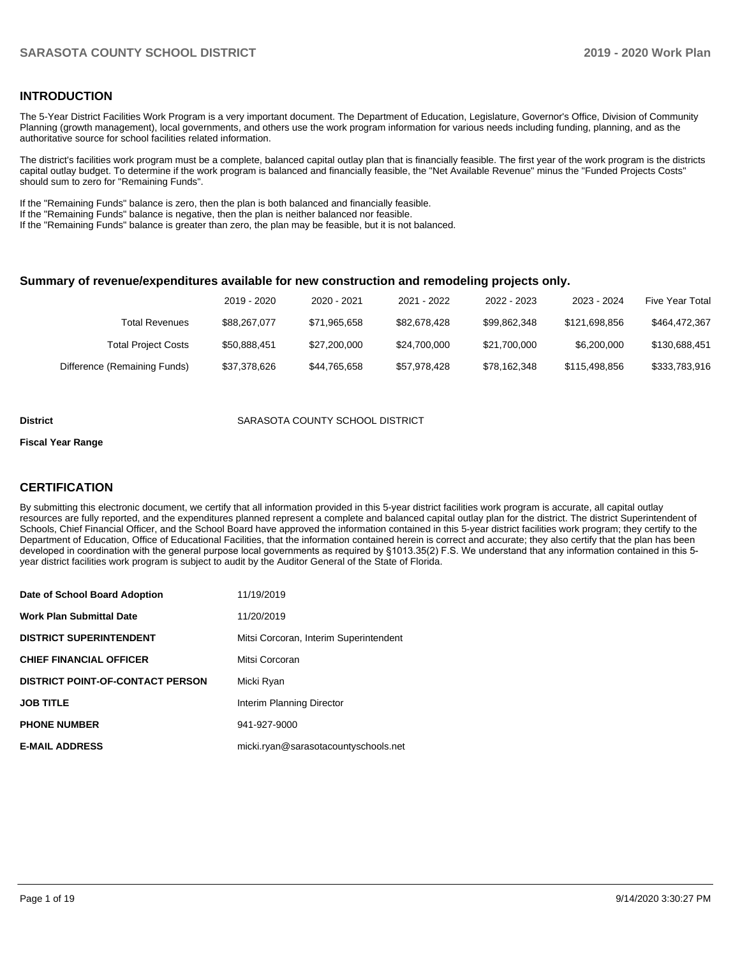## **INTRODUCTION**

The 5-Year District Facilities Work Program is a very important document. The Department of Education, Legislature, Governor's Office, Division of Community Planning (growth management), local governments, and others use the work program information for various needs including funding, planning, and as the authoritative source for school facilities related information.

The district's facilities work program must be a complete, balanced capital outlay plan that is financially feasible. The first year of the work program is the districts capital outlay budget. To determine if the work program is balanced and financially feasible, the "Net Available Revenue" minus the "Funded Projects Costs" should sum to zero for "Remaining Funds".

If the "Remaining Funds" balance is zero, then the plan is both balanced and financially feasible.

If the "Remaining Funds" balance is negative, then the plan is neither balanced nor feasible.

If the "Remaining Funds" balance is greater than zero, the plan may be feasible, but it is not balanced.

#### **Summary of revenue/expenditures available for new construction and remodeling projects only.**

|                              | 2019 - 2020  | 2020 - 2021  | 2021 - 2022  | 2022 - 2023  | 2023 - 2024   | <b>Five Year Total</b> |
|------------------------------|--------------|--------------|--------------|--------------|---------------|------------------------|
| Total Revenues               | \$88,267,077 | \$71.965.658 | \$82.678.428 | \$99.862.348 | \$121.698.856 | \$464,472,367          |
| <b>Total Project Costs</b>   | \$50.888.451 | \$27,200,000 | \$24.700.000 | \$21.700.000 | \$6,200,000   | \$130,688,451          |
| Difference (Remaining Funds) | \$37,378,626 | \$44,765,658 | \$57.978.428 | \$78.162.348 | \$115,498,856 | \$333,783,916          |

#### **District COUNTY SCHOOL DISTRICT SARASOTA COUNTY SCHOOL DISTRICT**

#### **Fiscal Year Range**

## **CERTIFICATION**

By submitting this electronic document, we certify that all information provided in this 5-year district facilities work program is accurate, all capital outlay resources are fully reported, and the expenditures planned represent a complete and balanced capital outlay plan for the district. The district Superintendent of Schools, Chief Financial Officer, and the School Board have approved the information contained in this 5-year district facilities work program; they certify to the Department of Education, Office of Educational Facilities, that the information contained herein is correct and accurate; they also certify that the plan has been developed in coordination with the general purpose local governments as required by §1013.35(2) F.S. We understand that any information contained in this 5 year district facilities work program is subject to audit by the Auditor General of the State of Florida.

| Date of School Board Adoption           | 11/19/2019                             |
|-----------------------------------------|----------------------------------------|
| Work Plan Submittal Date                | 11/20/2019                             |
| <b>DISTRICT SUPERINTENDENT</b>          | Mitsi Corcoran, Interim Superintendent |
| <b>CHIEF FINANCIAL OFFICER</b>          | Mitsi Corcoran                         |
| <b>DISTRICT POINT-OF-CONTACT PERSON</b> | Micki Ryan                             |
| JOB TITLE                               | Interim Planning Director              |
| <b>PHONE NUMBER</b>                     | 941-927-9000                           |
| <b>E-MAIL ADDRESS</b>                   | micki.ryan@sarasotacountyschools.net   |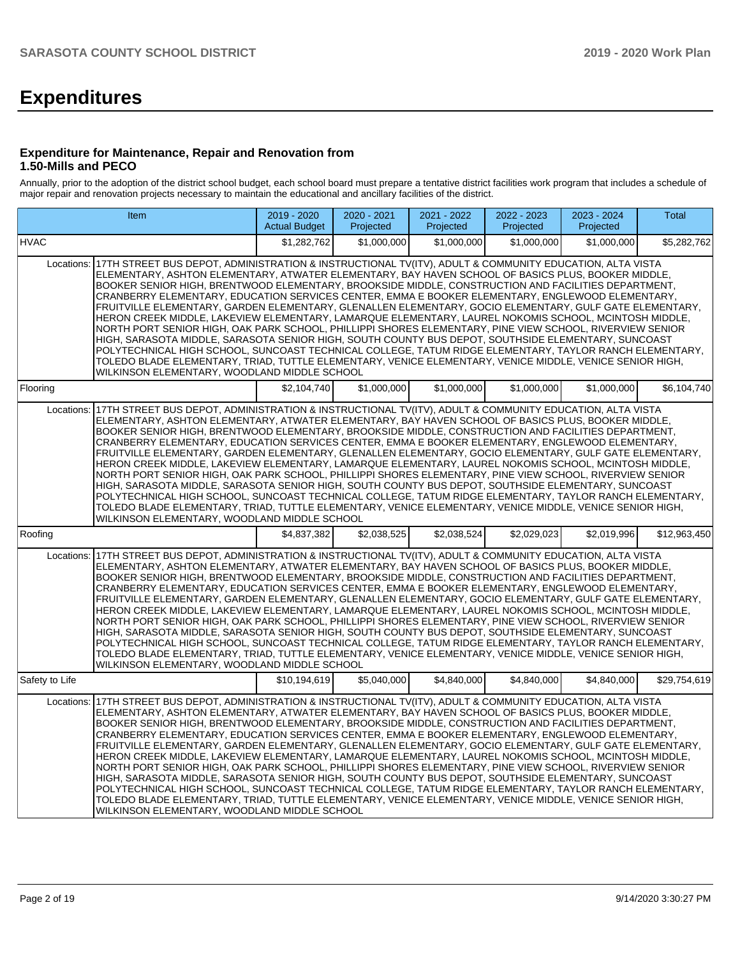# **Expenditures**

### **Expenditure for Maintenance, Repair and Renovation from 1.50-Mills and PECO**

Annually, prior to the adoption of the district school budget, each school board must prepare a tentative district facilities work program that includes a schedule of major repair and renovation projects necessary to maintain the educational and ancillary facilities of the district.

| Item                                                                                                                                                                                                                                                                                                                                                                                                                                                                                                                                                                                                                                                                                                                                                                                                                                                                                                                                                                                                                                                                                                                                                | 2019 - 2020<br><b>Actual Budget</b> | 2020 - 2021<br>Projected | 2021 - 2022<br>Projected | 2022 - 2023<br>Projected | 2023 - 2024<br>Projected | Total        |
|-----------------------------------------------------------------------------------------------------------------------------------------------------------------------------------------------------------------------------------------------------------------------------------------------------------------------------------------------------------------------------------------------------------------------------------------------------------------------------------------------------------------------------------------------------------------------------------------------------------------------------------------------------------------------------------------------------------------------------------------------------------------------------------------------------------------------------------------------------------------------------------------------------------------------------------------------------------------------------------------------------------------------------------------------------------------------------------------------------------------------------------------------------|-------------------------------------|--------------------------|--------------------------|--------------------------|--------------------------|--------------|
| <b>HVAC</b>                                                                                                                                                                                                                                                                                                                                                                                                                                                                                                                                                                                                                                                                                                                                                                                                                                                                                                                                                                                                                                                                                                                                         | \$1,282,762                         | \$1,000,000              | \$1,000,000              | \$1,000,000              | \$1,000,000              | \$5,282,762  |
| 17TH STREET BUS DEPOT, ADMINISTRATION & INSTRUCTIONAL TV(ITV), ADULT & COMMUNITY EDUCATION, ALTA VISTA<br>Locations:<br>ELEMENTARY, ASHTON ELEMENTARY, ATWATER ELEMENTARY, BAY HAVEN SCHOOL OF BASICS PLUS, BOOKER MIDDLE,<br>BOOKER SENIOR HIGH, BRENTWOOD ELEMENTARY, BROOKSIDE MIDDLE, CONSTRUCTION AND FACILITIES DEPARTMENT,<br>CRANBERRY ELEMENTARY, EDUCATION SERVICES CENTER, EMMA E BOOKER ELEMENTARY, ENGLEWOOD ELEMENTARY,<br>FRUITVILLE ELEMENTARY, GARDEN ELEMENTARY, GLENALLEN ELEMENTARY, GOCIO ELEMENTARY, GULF GATE ELEMENTARY,<br>HERON CREEK MIDDLE, LAKEVIEW ELEMENTARY, LAMARQUE ELEMENTARY, LAUREL NOKOMIS SCHOOL, MCINTOSH MIDDLE,<br>NORTH PORT SENIOR HIGH, OAK PARK SCHOOL, PHILLIPPI SHORES ELEMENTARY, PINE VIEW SCHOOL, RIVERVIEW SENIOR<br>HIGH, SARASOTA MIDDLE, SARASOTA SENIOR HIGH, SOUTH COUNTY BUS DEPOT, SOUTHSIDE ELEMENTARY, SUNCOAST<br>POLYTECHNICAL HIGH SCHOOL, SUNCOAST TECHNICAL COLLEGE, TATUM RIDGE ELEMENTARY, TAYLOR RANCH ELEMENTARY,<br>TOLEDO BLADE ELEMENTARY, TRIAD, TUTTLE ELEMENTARY, VENICE ELEMENTARY, VENICE MIDDLE, VENICE SENIOR HIGH,<br>WILKINSON ELEMENTARY, WOODLAND MIDDLE SCHOOL |                                     |                          |                          |                          |                          |              |
| Flooring                                                                                                                                                                                                                                                                                                                                                                                                                                                                                                                                                                                                                                                                                                                                                                                                                                                                                                                                                                                                                                                                                                                                            | \$2.104.740                         | \$1,000,000              | \$1,000,000              | \$1,000,000              | \$1,000,000              | \$6,104,740  |
| Locations: 17TH STREET BUS DEPOT, ADMINISTRATION & INSTRUCTIONAL TV(ITV), ADULT & COMMUNITY EDUCATION, ALTA VISTA<br>ELEMENTARY, ASHTON ELEMENTARY, ATWATER ELEMENTARY, BAY HAVEN SCHOOL OF BASICS PLUS, BOOKER MIDDLE,<br>BOOKER SENIOR HIGH, BRENTWOOD ELEMENTARY, BROOKSIDE MIDDLE, CONSTRUCTION AND FACILITIES DEPARTMENT,<br>CRANBERRY ELEMENTARY, EDUCATION SERVICES CENTER, EMMA E BOOKER ELEMENTARY, ENGLEWOOD ELEMENTARY,<br>FRUITVILLE ELEMENTARY, GARDEN ELEMENTARY, GLENALLEN ELEMENTARY, GOCIO ELEMENTARY, GULF GATE ELEMENTARY,<br>HERON CREEK MIDDLE, LAKEVIEW ELEMENTARY, LAMARQUE ELEMENTARY, LAUREL NOKOMIS SCHOOL, MCINTOSH MIDDLE,<br>NORTH PORT SENIOR HIGH, OAK PARK SCHOOL, PHILLIPPI SHORES ELEMENTARY, PINE VIEW SCHOOL, RIVERVIEW SENIOR<br>HIGH, SARASOTA MIDDLE, SARASOTA SENIOR HIGH, SOUTH COUNTY BUS DEPOT, SOUTHSIDE ELEMENTARY, SUNCOAST<br>POLYTECHNICAL HIGH SCHOOL, SUNCOAST TECHNICAL COLLEGE, TATUM RIDGE ELEMENTARY, TAYLOR RANCH ELEMENTARY,<br>TOLEDO BLADE ELEMENTARY, TRIAD, TUTTLE ELEMENTARY, VENICE ELEMENTARY, VENICE MIDDLE, VENICE SENIOR HIGH,<br>WILKINSON ELEMENTARY, WOODLAND MIDDLE SCHOOL    |                                     |                          |                          |                          |                          |              |
| Roofing                                                                                                                                                                                                                                                                                                                                                                                                                                                                                                                                                                                                                                                                                                                                                                                                                                                                                                                                                                                                                                                                                                                                             | \$4.837.382                         | \$2.038.525              | \$2.038.524              | \$2.029.023              | \$2.019.996              | \$12.963.450 |
| 17TH STREET BUS DEPOT, ADMINISTRATION & INSTRUCTIONAL TV(ITV), ADULT & COMMUNITY EDUCATION, ALTA VISTA<br>Locations:<br>ELEMENTARY, ASHTON ELEMENTARY, ATWATER ELEMENTARY, BAY HAVEN SCHOOL OF BASICS PLUS, BOOKER MIDDLE,<br>BOOKER SENIOR HIGH, BRENTWOOD ELEMENTARY, BROOKSIDE MIDDLE, CONSTRUCTION AND FACILITIES DEPARTMENT,<br>CRANBERRY ELEMENTARY, EDUCATION SERVICES CENTER, EMMA E BOOKER ELEMENTARY, ENGLEWOOD ELEMENTARY,<br>FRUITVILLE ELEMENTARY, GARDEN ELEMENTARY, GLENALLEN ELEMENTARY, GOCIO ELEMENTARY, GULF GATE ELEMENTARY,<br>HERON CREEK MIDDLE, LAKEVIEW ELEMENTARY, LAMARQUE ELEMENTARY, LAUREL NOKOMIS SCHOOL, MCINTOSH MIDDLE,<br>NORTH PORT SENIOR HIGH, OAK PARK SCHOOL, PHILLIPPI SHORES ELEMENTARY, PINE VIEW SCHOOL, RIVERVIEW SENIOR<br>HIGH, SARASOTA MIDDLE, SARASOTA SENIOR HIGH, SOUTH COUNTY BUS DEPOT, SOUTHSIDE ELEMENTARY, SUNCOAST<br>POLYTECHNICAL HIGH SCHOOL, SUNCOAST TECHNICAL COLLEGE, TATUM RIDGE ELEMENTARY, TAYLOR RANCH ELEMENTARY,<br>TOLEDO BLADE ELEMENTARY, TRIAD, TUTTLE ELEMENTARY, VENICE ELEMENTARY, VENICE MIDDLE, VENICE SENIOR HIGH,<br>WILKINSON ELEMENTARY, WOODLAND MIDDLE SCHOOL |                                     |                          |                          |                          |                          |              |
| Safety to Life                                                                                                                                                                                                                                                                                                                                                                                                                                                                                                                                                                                                                                                                                                                                                                                                                                                                                                                                                                                                                                                                                                                                      | \$10,194,619                        | \$5,040,000              | \$4,840,000              | \$4,840,000              | \$4,840,000              | \$29,754,619 |
| 17TH STREET BUS DEPOT, ADMINISTRATION & INSTRUCTIONAL TV(ITV), ADULT & COMMUNITY EDUCATION, ALTA VISTA<br>Locations:<br>ELEMENTARY, ASHTON ELEMENTARY, ATWATER ELEMENTARY, BAY HAVEN SCHOOL OF BASICS PLUS, BOOKER MIDDLE,<br>BOOKER SENIOR HIGH, BRENTWOOD ELEMENTARY, BROOKSIDE MIDDLE, CONSTRUCTION AND FACILITIES DEPARTMENT,<br>CRANBERRY ELEMENTARY, EDUCATION SERVICES CENTER, EMMA E BOOKER ELEMENTARY, ENGLEWOOD ELEMENTARY,<br>FRUITVILLE ELEMENTARY, GARDEN ELEMENTARY, GLENALLEN ELEMENTARY, GOCIO ELEMENTARY, GULF GATE ELEMENTARY,<br>HERON CREEK MIDDLE, LAKEVIEW ELEMENTARY, LAMARQUE ELEMENTARY, LAUREL NOKOMIS SCHOOL, MCINTOSH MIDDLE,<br>NORTH PORT SENIOR HIGH, OAK PARK SCHOOL, PHILLIPPI SHORES ELEMENTARY, PINE VIEW SCHOOL, RIVERVIEW SENIOR<br>HIGH, SARASOTA MIDDLE, SARASOTA SENIOR HIGH, SOUTH COUNTY BUS DEPOT, SOUTHSIDE ELEMENTARY, SUNCOAST<br>POLYTECHNICAL HIGH SCHOOL, SUNCOAST TECHNICAL COLLEGE, TATUM RIDGE ELEMENTARY, TAYLOR RANCH ELEMENTARY,<br>TOLEDO BLADE ELEMENTARY, TRIAD, TUTTLE ELEMENTARY, VENICE ELEMENTARY, VENICE MIDDLE, VENICE SENIOR HIGH,<br>WILKINSON ELEMENTARY, WOODLAND MIDDLE SCHOOL |                                     |                          |                          |                          |                          |              |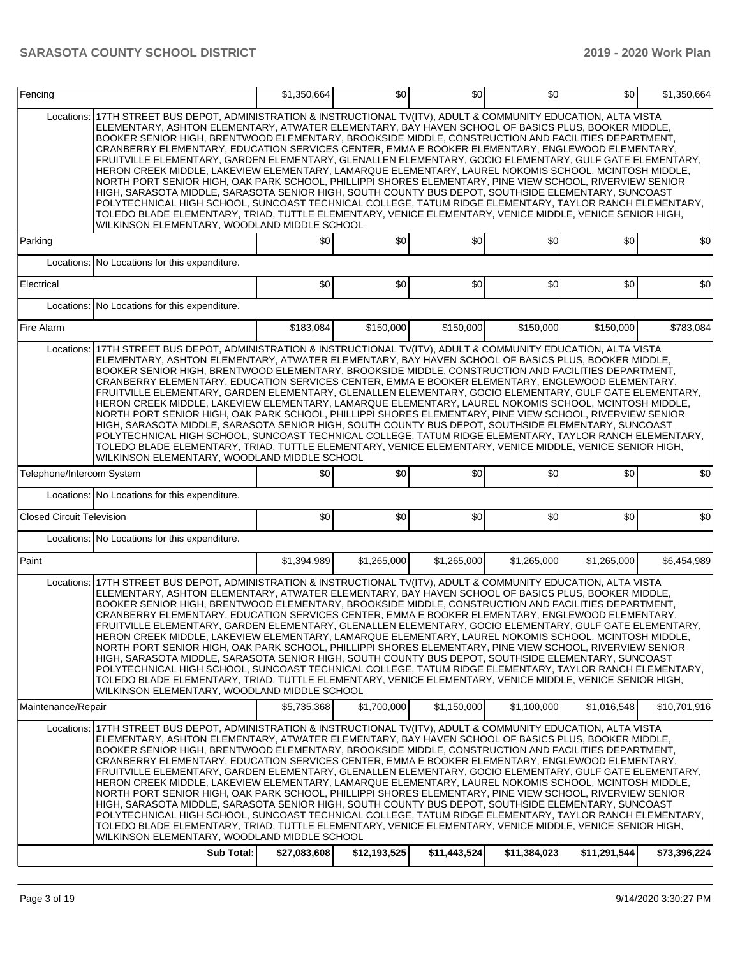| Fencing                          |                                                                                                                                                                                                                                                                                                                                                                                                                                                                                                                                                                                                                                                                                                                                                                                                                                                                                                                                                                                                                                                                                                                                                  | \$1,350,664  | \$0          | \$0          | \$0          | \$0          | \$1,350,664  |
|----------------------------------|--------------------------------------------------------------------------------------------------------------------------------------------------------------------------------------------------------------------------------------------------------------------------------------------------------------------------------------------------------------------------------------------------------------------------------------------------------------------------------------------------------------------------------------------------------------------------------------------------------------------------------------------------------------------------------------------------------------------------------------------------------------------------------------------------------------------------------------------------------------------------------------------------------------------------------------------------------------------------------------------------------------------------------------------------------------------------------------------------------------------------------------------------|--------------|--------------|--------------|--------------|--------------|--------------|
| Locations:                       | 17TH STREET BUS DEPOT, ADMINISTRATION & INSTRUCTIONAL TV(ITV), ADULT & COMMUNITY EDUCATION, ALTA VISTA<br>ELEMENTARY, ASHTON ELEMENTARY, ATWATER ELEMENTARY, BAY HAVEN SCHOOL OF BASICS PLUS, BOOKER MIDDLE,<br>BOOKER SENIOR HIGH, BRENTWOOD ELEMENTARY, BROOKSIDE MIDDLE, CONSTRUCTION AND FACILITIES DEPARTMENT,<br>CRANBERRY ELEMENTARY, EDUCATION SERVICES CENTER, EMMA E BOOKER ELEMENTARY, ENGLEWOOD ELEMENTARY,<br>FRUITVILLE ELEMENTARY, GARDEN ELEMENTARY, GLENALLEN ELEMENTARY, GOCIO ELEMENTARY, GULF GATE ELEMENTARY,<br>HERON CREEK MIDDLE, LAKEVIEW ELEMENTARY, LAMARQUE ELEMENTARY, LAUREL NOKOMIS SCHOOL, MCINTOSH MIDDLE,<br>NORTH PORT SENIOR HIGH, OAK PARK SCHOOL, PHILLIPPI SHORES ELEMENTARY, PINE VIEW SCHOOL, RIVERVIEW SENIOR<br>HIGH, SARASOTA MIDDLE, SARASOTA SENIOR HIGH, SOUTH COUNTY BUS DEPOT, SOUTHSIDE ELEMENTARY, SUNCOAST<br>POLYTECHNICAL HIGH SCHOOL, SUNCOAST TECHNICAL COLLEGE, TATUM RIDGE ELEMENTARY, TAYLOR RANCH ELEMENTARY,<br>TOLEDO BLADE ELEMENTARY, TRIAD, TUTTLE ELEMENTARY, VENICE ELEMENTARY, VENICE MIDDLE, VENICE SENIOR HIGH,<br>WILKINSON ELEMENTARY, WOODLAND MIDDLE SCHOOL            |              |              |              |              |              |              |
| Parking                          |                                                                                                                                                                                                                                                                                                                                                                                                                                                                                                                                                                                                                                                                                                                                                                                                                                                                                                                                                                                                                                                                                                                                                  | \$0          | \$0          | \$0          | \$0          | \$0          | \$0          |
|                                  | Locations: No Locations for this expenditure.                                                                                                                                                                                                                                                                                                                                                                                                                                                                                                                                                                                                                                                                                                                                                                                                                                                                                                                                                                                                                                                                                                    |              |              |              |              |              |              |
| Electrical                       |                                                                                                                                                                                                                                                                                                                                                                                                                                                                                                                                                                                                                                                                                                                                                                                                                                                                                                                                                                                                                                                                                                                                                  | \$0          | \$0          | \$0          | \$0          | \$0          | \$0          |
|                                  | Locations: No Locations for this expenditure.                                                                                                                                                                                                                                                                                                                                                                                                                                                                                                                                                                                                                                                                                                                                                                                                                                                                                                                                                                                                                                                                                                    |              |              |              |              |              |              |
| Fire Alarm                       |                                                                                                                                                                                                                                                                                                                                                                                                                                                                                                                                                                                                                                                                                                                                                                                                                                                                                                                                                                                                                                                                                                                                                  | \$183.084    | \$150,000    | \$150,000    | \$150,000    | \$150,000    | \$783,084    |
| Locations:                       | 17TH STREET BUS DEPOT, ADMINISTRATION & INSTRUCTIONAL TV(ITV), ADULT & COMMUNITY EDUCATION, ALTA VISTA<br>ELEMENTARY, ASHTON ELEMENTARY, ATWATER ELEMENTARY, BAY HAVEN SCHOOL OF BASICS PLUS, BOOKER MIDDLE,<br>BOOKER SENIOR HIGH, BRENTWOOD ELEMENTARY, BROOKSIDE MIDDLE, CONSTRUCTION AND FACILITIES DEPARTMENT,<br>CRANBERRY ELEMENTARY, EDUCATION SERVICES CENTER, EMMA E BOOKER ELEMENTARY, ENGLEWOOD ELEMENTARY,<br>FRUITVILLE ELEMENTARY, GARDEN ELEMENTARY, GLENALLEN ELEMENTARY, GOCIO ELEMENTARY, GULF GATE ELEMENTARY,<br>HERON CREEK MIDDLE, LAKEVIEW ELEMENTARY, LAMARQUE ELEMENTARY, LAUREL NOKOMIS SCHOOL, MCINTOSH MIDDLE,<br>NORTH PORT SENIOR HIGH, OAK PARK SCHOOL, PHILLIPPI SHORES ELEMENTARY, PINE VIEW SCHOOL, RIVERVIEW SENIOR<br>HIGH, SARASOTA MIDDLE, SARASOTA SENIOR HIGH, SOUTH COUNTY BUS DEPOT, SOUTHSIDE ELEMENTARY, SUNCOAST<br>POLYTECHNICAL HIGH SCHOOL, SUNCOAST TECHNICAL COLLEGE, TATUM RIDGE ELEMENTARY, TAYLOR RANCH ELEMENTARY,<br>TOLEDO BLADE ELEMENTARY, TRIAD, TUTTLE ELEMENTARY, VENICE ELEMENTARY, VENICE MIDDLE, VENICE SENIOR HIGH,<br>WILKINSON ELEMENTARY, WOODLAND MIDDLE SCHOOL            |              |              |              |              |              |              |
| Telephone/Intercom System        |                                                                                                                                                                                                                                                                                                                                                                                                                                                                                                                                                                                                                                                                                                                                                                                                                                                                                                                                                                                                                                                                                                                                                  | \$0          | \$0          | \$0          | \$0          | \$0          | \$0          |
|                                  | Locations: No Locations for this expenditure.                                                                                                                                                                                                                                                                                                                                                                                                                                                                                                                                                                                                                                                                                                                                                                                                                                                                                                                                                                                                                                                                                                    |              |              |              |              |              |              |
| <b>Closed Circuit Television</b> |                                                                                                                                                                                                                                                                                                                                                                                                                                                                                                                                                                                                                                                                                                                                                                                                                                                                                                                                                                                                                                                                                                                                                  | \$0          | \$0          | \$0          | \$0          | \$0          | \$0          |
|                                  | Locations: No Locations for this expenditure.                                                                                                                                                                                                                                                                                                                                                                                                                                                                                                                                                                                                                                                                                                                                                                                                                                                                                                                                                                                                                                                                                                    |              |              |              |              |              |              |
| Paint                            |                                                                                                                                                                                                                                                                                                                                                                                                                                                                                                                                                                                                                                                                                                                                                                                                                                                                                                                                                                                                                                                                                                                                                  | \$1,394,989  | \$1,265,000  | \$1,265,000  | \$1,265,000  | \$1,265,000  | \$6,454,989  |
|                                  | Locations: 17TH STREET BUS DEPOT, ADMINISTRATION & INSTRUCTIONAL TV(ITV), ADULT & COMMUNITY EDUCATION, ALTA VISTA<br>ELEMENTARY, ASHTON ELEMENTARY, ATWATER ELEMENTARY, BAY HAVEN SCHOOL OF BASICS PLUS, BOOKER MIDDLE,<br>BOOKER SENIOR HIGH, BRENTWOOD ELEMENTARY, BROOKSIDE MIDDLE, CONSTRUCTION AND FACILITIES DEPARTMENT,<br>CRANBERRY ELEMENTARY, EDUCATION SERVICES CENTER, EMMA E BOOKER ELEMENTARY, ENGLEWOOD ELEMENTARY,<br>FRUITVILLE ELEMENTARY, GARDEN ELEMENTARY, GLENALLEN ELEMENTARY, GOCIO ELEMENTARY, GULF GATE ELEMENTARY,<br>HERON CREEK MIDDLE. LAKEVIEW ELEMENTARY. LAMARQUE ELEMENTARY. LAUREL NOKOMIS SCHOOL. MCINTOSH MIDDLE.<br>NORTH PORT SENIOR HIGH. OAK PARK SCHOOL. PHILLIPPI SHORES ELEMENTARY. PINE VIEW SCHOOL. RIVERVIEW SENIOR<br>HIGH, SARASOTA MIDDLE, SARASOTA SENIOR HIGH, SOUTH COUNTY BUS DEPOT, SOUTHSIDE ELEMENTARY, SUNCOAST<br>POLYTECHNICAL HIGH SCHOOL, SUNCOAST TECHNICAL COLLEGE, TATUM RIDGE ELEMENTARY, TAYLOR RANCH ELEMENTARY,<br>TOLEDO BLADE ELEMENTARY, TRIAD, TUTTLE ELEMENTARY, VENICE ELEMENTARY, VENICE MIDDLE, VENICE SENIOR HIGH,<br>WILKINSON ELEMENTARY, WOODLAND MIDDLE SCHOOL |              |              |              |              |              |              |
| Maintenance/Repair               |                                                                                                                                                                                                                                                                                                                                                                                                                                                                                                                                                                                                                                                                                                                                                                                                                                                                                                                                                                                                                                                                                                                                                  | \$5,735,368  | \$1,700,000  | \$1,150,000  | \$1,100,000  | \$1,016,548  | \$10,701,916 |
| Locations:                       | 17TH STREET BUS DEPOT, ADMINISTRATION & INSTRUCTIONAL TV(ITV), ADULT & COMMUNITY EDUCATION, ALTA VISTA<br>ELEMENTARY, ASHTON ELEMENTARY, ATWATER ELEMENTARY, BAY HAVEN SCHOOL OF BASICS PLUS, BOOKER MIDDLE,<br>BOOKER SENIOR HIGH, BRENTWOOD ELEMENTARY, BROOKSIDE MIDDLE, CONSTRUCTION AND FACILITIES DEPARTMENT,<br>CRANBERRY ELEMENTARY, EDUCATION SERVICES CENTER, EMMA E BOOKER ELEMENTARY, ENGLEWOOD ELEMENTARY,<br>FRUITVILLE ELEMENTARY, GARDEN ELEMENTARY, GLENALLEN ELEMENTARY, GOCIO ELEMENTARY, GULF GATE ELEMENTARY,<br>HERON CREEK MIDDLE, LAKEVIEW ELEMENTARY, LAMARQUE ELEMENTARY, LAUREL NOKOMIS SCHOOL, MCINTOSH MIDDLE,<br>NORTH PORT SENIOR HIGH, OAK PARK SCHOOL, PHILLIPPI SHORES ELEMENTARY, PINE VIEW SCHOOL, RIVERVIEW SENIOR<br>HIGH, SARASOTA MIDDLE, SARASOTA SENIOR HIGH, SOUTH COUNTY BUS DEPOT, SOUTHSIDE ELEMENTARY, SUNCOAST<br>POLYTECHNICAL HIGH SCHOOL, SUNCOAST TECHNICAL COLLEGE, TATUM RIDGE ELEMENTARY, TAYLOR RANCH ELEMENTARY,<br>TOLEDO BLADE ELEMENTARY, TRIAD, TUTTLE ELEMENTARY, VENICE ELEMENTARY, VENICE MIDDLE, VENICE SENIOR HIGH,<br>WILKINSON ELEMENTARY, WOODLAND MIDDLE SCHOOL            |              |              |              |              |              |              |
|                                  | Sub Total:                                                                                                                                                                                                                                                                                                                                                                                                                                                                                                                                                                                                                                                                                                                                                                                                                                                                                                                                                                                                                                                                                                                                       | \$27,083,608 | \$12,193,525 | \$11,443,524 | \$11,384,023 | \$11,291,544 | \$73,396,224 |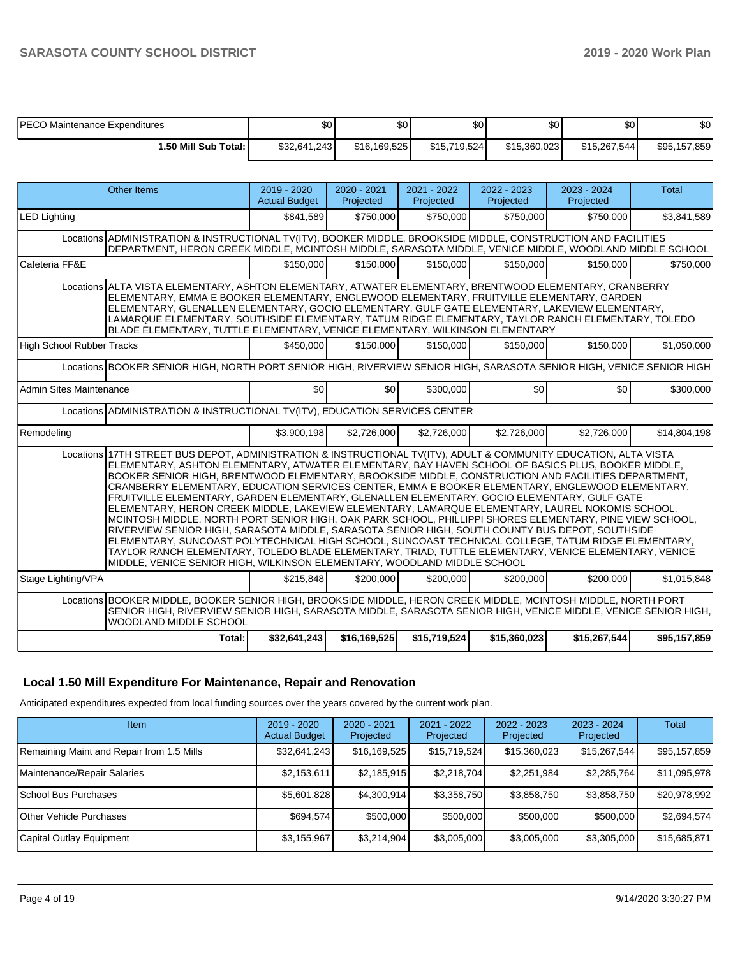| <b>PECO Maintenance Expenditures</b> | \$0          | ሶሳ<br>ა∪     | \$0          | ሶሳ<br>Φ∪     | ¢∩<br>Φ∪     | \$0          |
|--------------------------------------|--------------|--------------|--------------|--------------|--------------|--------------|
| l.50 Mill Sub Total: I               | \$32,641,243 | \$16,169,525 | \$15,719,524 | \$15,360,023 | \$15.267.544 | \$95,157,859 |

| <b>Other Items</b>                                                                                                                                                                                                                                                                                                                                                                                                                                                                                                                                                                                                                                                                                                                                                                                                                                                                                                                                                                                                                                                                                                                              | 2019 - 2020<br><b>Actual Budget</b>                                                          | 2020 - 2021<br>Projected | 2021 - 2022<br>Projected | 2022 - 2023<br>Projected | 2023 - 2024<br>Projected | <b>Total</b> |  |  |  |  |
|-------------------------------------------------------------------------------------------------------------------------------------------------------------------------------------------------------------------------------------------------------------------------------------------------------------------------------------------------------------------------------------------------------------------------------------------------------------------------------------------------------------------------------------------------------------------------------------------------------------------------------------------------------------------------------------------------------------------------------------------------------------------------------------------------------------------------------------------------------------------------------------------------------------------------------------------------------------------------------------------------------------------------------------------------------------------------------------------------------------------------------------------------|----------------------------------------------------------------------------------------------|--------------------------|--------------------------|--------------------------|--------------------------|--------------|--|--|--|--|
| <b>LED Lighting</b>                                                                                                                                                                                                                                                                                                                                                                                                                                                                                                                                                                                                                                                                                                                                                                                                                                                                                                                                                                                                                                                                                                                             | \$841,589                                                                                    | \$750,000                | \$750,000                | \$750,000                | \$750,000                | \$3,841,589  |  |  |  |  |
| Locations ADMINISTRATION & INSTRUCTIONAL TV(ITV), BOOKER MIDDLE, BROOKSIDE MIDDLE, CONSTRUCTION AND FACILITIES<br>DEPARTMENT, HERON CREEK MIDDLE, MCINTOSH MIDDLE, SARASOTA MIDDLE, VENICE MIDDLE, WOODLAND MIDDLE SCHOOL                                                                                                                                                                                                                                                                                                                                                                                                                                                                                                                                                                                                                                                                                                                                                                                                                                                                                                                       |                                                                                              |                          |                          |                          |                          |              |  |  |  |  |
| Cafeteria FF&E                                                                                                                                                                                                                                                                                                                                                                                                                                                                                                                                                                                                                                                                                                                                                                                                                                                                                                                                                                                                                                                                                                                                  | \$150,000                                                                                    | \$150,000                | \$150,000                | \$150,000                | \$150,000                | \$750.000    |  |  |  |  |
| Locations ALTA VISTA ELEMENTARY, ASHTON ELEMENTARY, ATWATER ELEMENTARY, BRENTWOOD ELEMENTARY, CRANBERRY<br>ELEMENTARY, EMMA E BOOKER ELEMENTARY, ENGLEWOOD ELEMENTARY, FRUITVILLE ELEMENTARY, GARDEN<br>ELEMENTARY, GLENALLEN ELEMENTARY, GOCIO ELEMENTARY, GULF GATE ELEMENTARY, LAKEVIEW ELEMENTARY.<br>LAMARQUE ELEMENTARY, SOUTHSIDE ELEMENTARY, TATUM RIDGE ELEMENTARY, TAYLOR RANCH ELEMENTARY, TOLEDO<br>BLADE ELEMENTARY, TUTTLE ELEMENTARY, VENICE ELEMENTARY, WILKINSON ELEMENTARY                                                                                                                                                                                                                                                                                                                                                                                                                                                                                                                                                                                                                                                    |                                                                                              |                          |                          |                          |                          |              |  |  |  |  |
| <b>High School Rubber Tracks</b>                                                                                                                                                                                                                                                                                                                                                                                                                                                                                                                                                                                                                                                                                                                                                                                                                                                                                                                                                                                                                                                                                                                | \$450,000                                                                                    | \$150,000                | \$150,000                | \$150,000                | \$150,000                | \$1,050,000  |  |  |  |  |
| Locations BOOKER SENIOR HIGH, NORTH PORT SENIOR HIGH, RIVERVIEW SENIOR HIGH, SARASOTA SENIOR HIGH, VENICE SENIOR HIGH                                                                                                                                                                                                                                                                                                                                                                                                                                                                                                                                                                                                                                                                                                                                                                                                                                                                                                                                                                                                                           |                                                                                              |                          |                          |                          |                          |              |  |  |  |  |
| <b>Admin Sites Maintenance</b>                                                                                                                                                                                                                                                                                                                                                                                                                                                                                                                                                                                                                                                                                                                                                                                                                                                                                                                                                                                                                                                                                                                  | \$0                                                                                          | \$0 <sub>1</sub>         | \$300,000                | \$0                      | \$0                      | \$300,000    |  |  |  |  |
| Locations ADMINISTRATION & INSTRUCTIONAL TV(ITV), EDUCATION SERVICES CENTER                                                                                                                                                                                                                                                                                                                                                                                                                                                                                                                                                                                                                                                                                                                                                                                                                                                                                                                                                                                                                                                                     |                                                                                              |                          |                          |                          |                          |              |  |  |  |  |
| Remodeling                                                                                                                                                                                                                                                                                                                                                                                                                                                                                                                                                                                                                                                                                                                                                                                                                                                                                                                                                                                                                                                                                                                                      | \$3,900,198                                                                                  | \$2,726,000              | \$2,726,000              | \$2,726,000              | \$2,726,000              | \$14,804,198 |  |  |  |  |
| Locations 17TH STREET BUS DEPOT, ADMINISTRATION & INSTRUCTIONAL TV(ITV), ADULT & COMMUNITY EDUCATION, ALTA VISTA<br>ELEMENTARY, ASHTON ELEMENTARY, ATWATER ELEMENTARY, BAY HAVEN SCHOOL OF BASICS PLUS, BOOKER MIDDLE,<br>BOOKER SENIOR HIGH, BRENTWOOD ELEMENTARY, BROOKSIDE MIDDLE, CONSTRUCTION AND FACILITIES DEPARTMENT,<br>CRANBERRY ELEMENTARY, EDUCATION SERVICES CENTER, EMMA E BOOKER ELEMENTARY, ENGLEWOOD ELEMENTARY,<br>FRUITVILLE ELEMENTARY, GARDEN ELEMENTARY, GLENALLEN ELEMENTARY, GOCIO ELEMENTARY, GULF GATE<br>ELEMENTARY, HERON CREEK MIDDLE, LAKEVIEW ELEMENTARY, LAMARQUE ELEMENTARY, LAUREL NOKOMIS SCHOOL,<br>MCINTOSH MIDDLE, NORTH PORT SENIOR HIGH, OAK PARK SCHOOL, PHILLIPPI SHORES ELEMENTARY, PINE VIEW SCHOOL,<br>RIVERVIEW SENIOR HIGH, SARASOTA MIDDLE, SARASOTA SENIOR HIGH, SOUTH COUNTY BUS DEPOT, SOUTHSIDE<br>ELEMENTARY, SUNCOAST POLYTECHNICAL HIGH SCHOOL, SUNCOAST TECHNICAL COLLEGE, TATUM RIDGE ELEMENTARY,<br>TAYLOR RANCH ELEMENTARY, TOLEDO BLADE ELEMENTARY, TRIAD, TUTTLE ELEMENTARY, VENICE ELEMENTARY, VENICE<br>MIDDLE, VENICE SENIOR HIGH, WILKINSON ELEMENTARY, WOODLAND MIDDLE SCHOOL |                                                                                              |                          |                          |                          |                          |              |  |  |  |  |
| Stage Lighting/VPA                                                                                                                                                                                                                                                                                                                                                                                                                                                                                                                                                                                                                                                                                                                                                                                                                                                                                                                                                                                                                                                                                                                              | \$215,848                                                                                    | \$200,000                | \$200,000                | \$200,000                | \$200,000                | \$1,015,848  |  |  |  |  |
| Locations BOOKER MIDDLE, BOOKER SENIOR HIGH, BROOKSIDE MIDDLE, HERON CREEK MIDDLE, MCINTOSH MIDDLE, NORTH PORT<br>SENIOR HIGH, RIVERVIEW SENIOR HIGH, SARASOTA MIDDLE, SARASOTA SENIOR HIGH, VENICE MIDDLE, VENICE SENIOR HIGH,<br>WOODLAND MIDDLE SCHOOL                                                                                                                                                                                                                                                                                                                                                                                                                                                                                                                                                                                                                                                                                                                                                                                                                                                                                       |                                                                                              |                          |                          |                          |                          |              |  |  |  |  |
| Total:                                                                                                                                                                                                                                                                                                                                                                                                                                                                                                                                                                                                                                                                                                                                                                                                                                                                                                                                                                                                                                                                                                                                          | \$32,641,243<br>\$15,719,524<br>\$15,360,023<br>\$15,267,544<br>\$95,157,859<br>\$16,169,525 |                          |                          |                          |                          |              |  |  |  |  |

## **Local 1.50 Mill Expenditure For Maintenance, Repair and Renovation**

Anticipated expenditures expected from local funding sources over the years covered by the current work plan.

| Item                                      | $2019 - 2020$<br><b>Actual Budget</b> | $2020 - 2021$<br>Projected | $2021 - 2022$<br>Projected | $2022 - 2023$<br>Projected | 2023 - 2024<br>Projected | Total        |
|-------------------------------------------|---------------------------------------|----------------------------|----------------------------|----------------------------|--------------------------|--------------|
| Remaining Maint and Repair from 1.5 Mills | \$32,641,243                          | \$16,169,525               | \$15,719,524               | \$15,360,023               | \$15,267,544             | \$95,157,859 |
| Maintenance/Repair Salaries               | \$2,153,611                           | \$2,185,915                | \$2,218,704                | \$2,251,984                | \$2,285,764              | \$11,095,978 |
| School Bus Purchases                      | \$5,601,828                           | \$4,300,914                | \$3,358,750                | \$3,858,750                | \$3,858,750              | \$20,978,992 |
| <b>Other Vehicle Purchases</b>            | \$694.574                             | \$500,000                  | \$500,000                  | \$500,000                  | \$500,000                | \$2,694,574  |
| Capital Outlay Equipment                  | \$3,155,967                           | \$3,214,904                | \$3,005,000                | \$3,005,000                | \$3,305,000              | \$15,685,871 |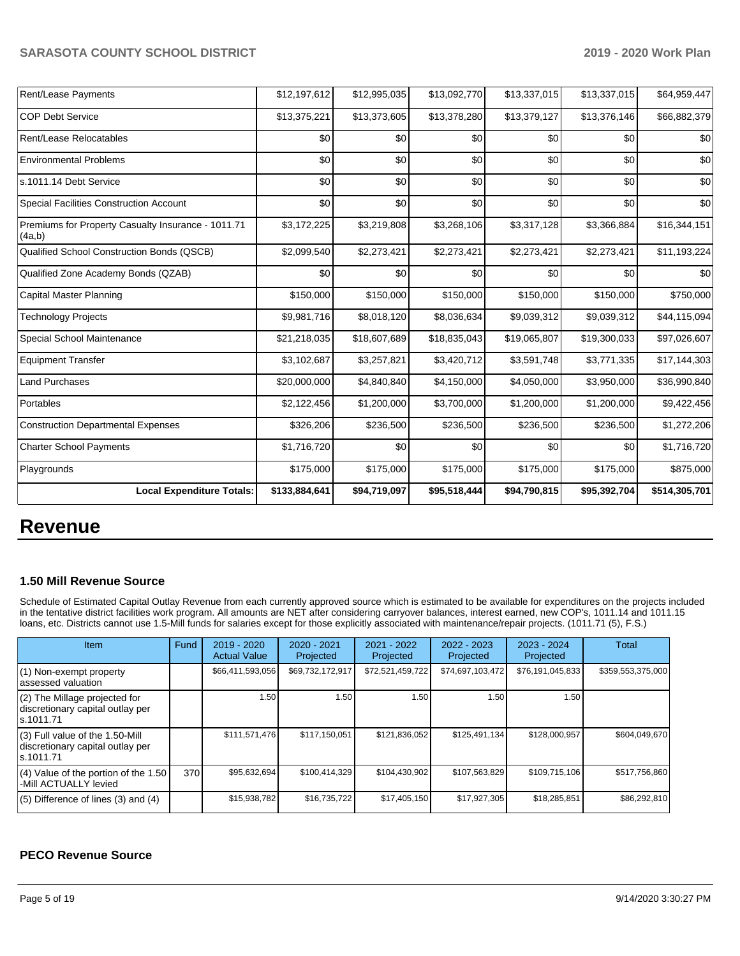| Rent/Lease Payments                                          | \$12,197,612  | \$12,995,035 | \$13,092,770 | \$13,337,015 | \$13,337,015 | \$64,959,447  |
|--------------------------------------------------------------|---------------|--------------|--------------|--------------|--------------|---------------|
| <b>COP Debt Service</b>                                      | \$13,375,221  | \$13,373,605 | \$13,378,280 | \$13,379,127 | \$13,376,146 | \$66,882,379  |
| Rent/Lease Relocatables                                      | \$0           | \$0          | \$0          | \$0          | \$0          | \$0           |
| <b>Environmental Problems</b>                                | \$0           | \$0          | \$0          | \$0          | \$0          | \$0           |
| s.1011.14 Debt Service                                       | \$0           | \$0          | \$0          | \$0          | \$0          | \$0           |
| <b>Special Facilities Construction Account</b>               | \$0           | \$0          | \$0          | \$0          | \$0          | \$0           |
| Premiums for Property Casualty Insurance - 1011.71<br>(4a,b) | \$3,172,225   | \$3,219,808  | \$3,268,106  | \$3,317,128  | \$3,366,884  | \$16,344,151  |
| Qualified School Construction Bonds (QSCB)                   | \$2,099,540   | \$2,273,421  | \$2,273,421  | \$2,273,421  | \$2,273,421  | \$11,193,224  |
| Qualified Zone Academy Bonds (QZAB)                          | \$0           | \$0          | \$0          | \$0          | \$0          | \$0           |
| Capital Master Planning                                      | \$150,000     | \$150,000    | \$150,000    | \$150,000    | \$150,000    | \$750,000     |
| <b>Technology Projects</b>                                   | \$9,981,716   | \$8,018,120  | \$8,036,634  | \$9,039,312  | \$9,039,312  | \$44,115,094  |
| Special School Maintenance                                   | \$21,218,035  | \$18,607,689 | \$18,835,043 | \$19,065,807 | \$19,300,033 | \$97,026,607  |
| <b>Equipment Transfer</b>                                    | \$3,102,687   | \$3,257,821  | \$3,420,712  | \$3,591,748  | \$3,771,335  | \$17,144,303  |
| <b>Land Purchases</b>                                        | \$20,000,000  | \$4,840,840  | \$4,150,000  | \$4,050,000  | \$3,950,000  | \$36,990,840  |
| Portables                                                    | \$2,122,456   | \$1,200,000  | \$3,700,000  | \$1,200,000  | \$1,200,000  | \$9,422,456   |
| <b>Construction Departmental Expenses</b>                    | \$326,206     | \$236,500    | \$236,500    | \$236,500    | \$236,500    | \$1,272,206   |
| <b>Charter School Payments</b>                               | \$1,716,720   | \$0          | \$0          | \$0          | \$0          | \$1,716,720   |
| Playgrounds                                                  | \$175,000     | \$175,000    | \$175,000    | \$175,000    | \$175,000    | \$875,000     |
| <b>Local Expenditure Totals:</b>                             | \$133,884,641 | \$94,719,097 | \$95,518,444 | \$94,790,815 | \$95,392,704 | \$514,305,701 |

## **Revenue**

### **1.50 Mill Revenue Source**

Schedule of Estimated Capital Outlay Revenue from each currently approved source which is estimated to be available for expenditures on the projects included in the tentative district facilities work program. All amounts are NET after considering carryover balances, interest earned, new COP's, 1011.14 and 1011.15 loans, etc. Districts cannot use 1.5-Mill funds for salaries except for those explicitly associated with maintenance/repair projects. (1011.71 (5), F.S.)

| Item                                                                                | Fund | $2019 - 2020$<br><b>Actual Value</b> | $2020 - 2021$<br>Projected | 2021 - 2022<br>Projected | $2022 - 2023$<br>Projected | $2023 - 2024$<br>Projected | Total             |
|-------------------------------------------------------------------------------------|------|--------------------------------------|----------------------------|--------------------------|----------------------------|----------------------------|-------------------|
| (1) Non-exempt property<br>lassessed valuation                                      |      | \$66,411,593,056                     | \$69,732,172,917           | \$72,521,459,722         | \$74,697,103,472           | \$76,191,045,833           | \$359,553,375,000 |
| $(2)$ The Millage projected for<br>discretionary capital outlay per<br>ls.1011.71   |      | 1.50                                 | .50 <sub>1</sub>           | 1.50                     | 1.50                       | 1.50                       |                   |
| $(3)$ Full value of the 1.50-Mill<br>discretionary capital outlay per<br>ls.1011.71 |      | \$111,571,476                        | \$117.150.051              | \$121,836,052            | \$125,491,134              | \$128,000,957              | \$604,049,670     |
| $(4)$ Value of the portion of the 1.50<br>-Mill ACTUALLY levied                     | 370  | \$95,632,694                         | \$100,414,329              | \$104,430,902            | \$107,563,829              | \$109,715,106              | \$517,756,860     |
| $(5)$ Difference of lines $(3)$ and $(4)$                                           |      | \$15,938,782                         | \$16,735,722               | \$17,405,150             | \$17,927,305               | \$18,285,851               | \$86,292,810      |

## **PECO Revenue Source**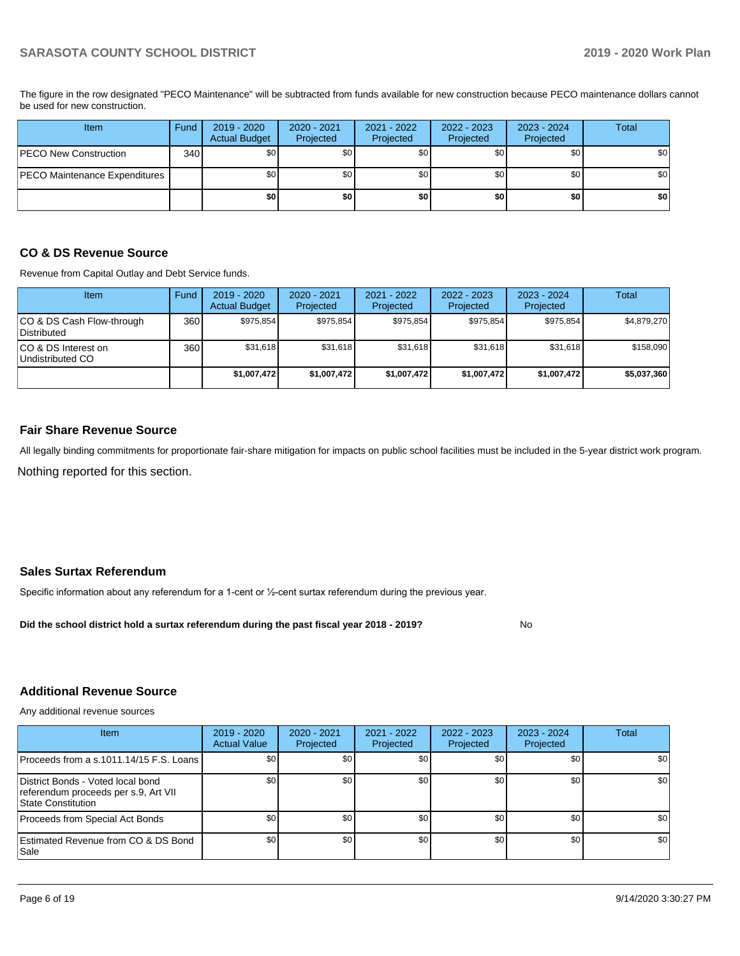The figure in the row designated "PECO Maintenance" will be subtracted from funds available for new construction because PECO maintenance dollars cannot be used for new construction.

| Item                          | Fund             | $2019 - 2020$<br><b>Actual Budget</b> | 2020 - 2021<br>Projected | 2021 - 2022<br>Projected | 2022 - 2023<br>Projected | 2023 - 2024<br>Projected | Total |
|-------------------------------|------------------|---------------------------------------|--------------------------|--------------------------|--------------------------|--------------------------|-------|
| PECO New Construction         | 340 <sup>1</sup> | \$0                                   | \$0                      | \$0                      | \$0 <sub>1</sub>         | \$0                      | \$0   |
| PECO Maintenance Expenditures |                  | \$0                                   | \$0                      | \$0                      | \$0 <sub>1</sub>         | \$0                      | \$0   |
|                               |                  | \$0                                   | \$0                      | \$0                      | \$0                      | \$0                      | \$0   |

## **CO & DS Revenue Source**

Revenue from Capital Outlay and Debt Service funds.

| <b>Item</b>                               | Fund | $2019 - 2020$<br><b>Actual Budget</b> | 2020 - 2021<br>Projected | 2021 - 2022<br>Projected | $2022 - 2023$<br>Projected | $2023 - 2024$<br>Projected | Total       |
|-------------------------------------------|------|---------------------------------------|--------------------------|--------------------------|----------------------------|----------------------------|-------------|
| ICO & DS Cash Flow-through<br>Distributed | 360  | \$975.854                             | \$975,854                | \$975.854                | \$975.854                  | \$975,854                  | \$4,879,270 |
| ICO & DS Interest on<br>Undistributed CO  | 360  | \$31,618                              | \$31,618                 | \$31,618                 | \$31.618                   | \$31,618                   | \$158,090   |
|                                           |      | \$1,007,472                           | \$1,007,472              | \$1,007,472              | \$1,007,472                | \$1,007,472                | \$5,037,360 |

### **Fair Share Revenue Source**

Nothing reported for this section. All legally binding commitments for proportionate fair-share mitigation for impacts on public school facilities must be included in the 5-year district work program.

## **Sales Surtax Referendum**

Specific information about any referendum for a 1-cent or ½-cent surtax referendum during the previous year.

**Did the school district hold a surtax referendum during the past fiscal year 2018 - 2019?**

## **Additional Revenue Source**

Any additional revenue sources

| Item                                                                                            | 2019 - 2020<br><b>Actual Value</b> | $2020 - 2021$<br>Projected | 2021 - 2022<br>Projected | 2022 - 2023<br>Projected | 2023 - 2024<br>Projected | Total |
|-------------------------------------------------------------------------------------------------|------------------------------------|----------------------------|--------------------------|--------------------------|--------------------------|-------|
| Proceeds from a s.1011.14/15 F.S. Loans I                                                       | \$0                                | \$0                        | \$0                      | \$0                      | \$0                      | \$0   |
| District Bonds - Voted local bond<br>referendum proceeds per s.9, Art VII<br>State Constitution | \$0                                | \$0                        | \$0                      | \$0                      | \$0                      | \$0   |
| Proceeds from Special Act Bonds                                                                 | \$0                                | \$0                        | \$0                      | \$0                      | \$0                      | \$0   |
| Estimated Revenue from CO & DS Bond<br> Sale                                                    | \$0                                | \$0 <sub>1</sub>           | \$0                      | \$0                      | \$0                      | \$0   |

No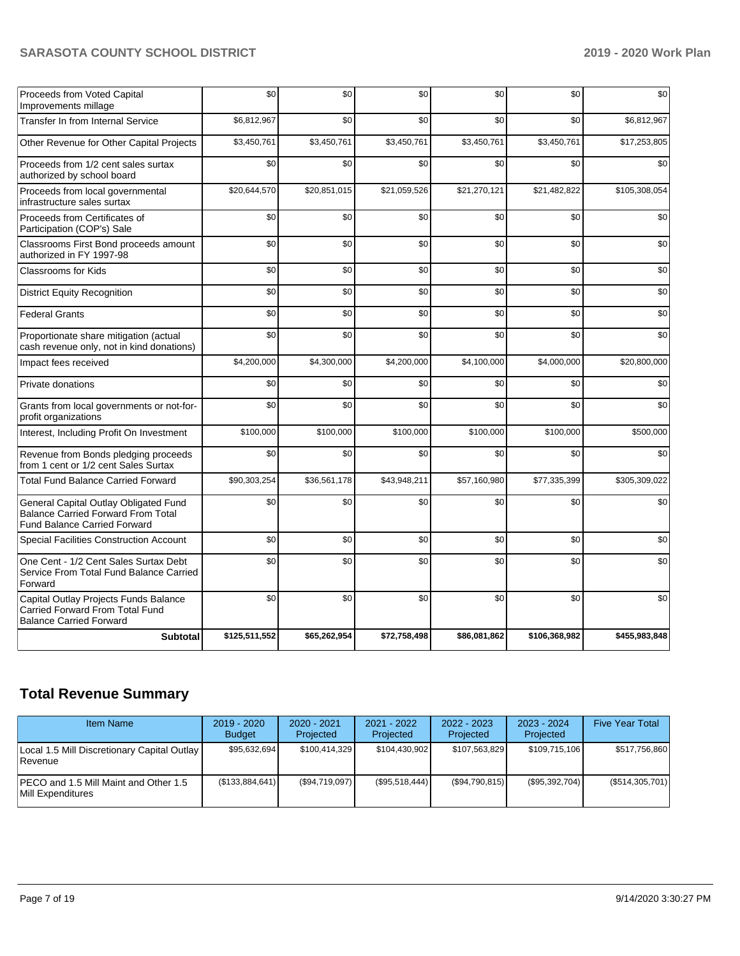| Proceeds from Voted Capital<br>Improvements millage                                                                       | \$0           | \$0          | \$0          | \$0          | \$0           | \$0           |
|---------------------------------------------------------------------------------------------------------------------------|---------------|--------------|--------------|--------------|---------------|---------------|
| Transfer In from Internal Service                                                                                         | \$6,812,967   | \$0          | \$0          | \$0          | \$0           | \$6,812,967   |
| Other Revenue for Other Capital Projects                                                                                  | \$3,450,761   | \$3,450,761  | \$3,450,761  | \$3,450,761  | \$3,450,761   | \$17,253,805  |
| Proceeds from 1/2 cent sales surtax<br>authorized by school board                                                         | \$0           | \$0          | \$0          | \$0          | \$0           | \$0           |
| Proceeds from local governmental<br>infrastructure sales surtax                                                           | \$20,644,570  | \$20,851,015 | \$21,059,526 | \$21,270,121 | \$21,482,822  | \$105,308,054 |
| Proceeds from Certificates of<br>Participation (COP's) Sale                                                               | \$0           | \$0          | \$0          | \$0          | \$0           | \$0           |
| Classrooms First Bond proceeds amount<br>authorized in FY 1997-98                                                         | \$0           | \$0          | \$0          | \$0          | \$0           | \$0           |
| Classrooms for Kids                                                                                                       | \$0           | \$0          | \$0          | \$0          | \$0           | \$0           |
| <b>District Equity Recognition</b>                                                                                        | \$0           | \$0          | \$0          | \$0          | \$0           | \$0           |
| <b>Federal Grants</b>                                                                                                     | \$0           | \$0          | \$0          | \$0          | \$0           | \$0           |
| Proportionate share mitigation (actual<br>cash revenue only, not in kind donations)                                       | \$0           | \$0          | \$0          | \$0          | \$0           | \$0           |
| Impact fees received                                                                                                      | \$4,200,000   | \$4,300,000  | \$4,200,000  | \$4,100,000  | \$4,000,000   | \$20,800,000  |
| Private donations                                                                                                         | \$0           | \$0          | \$0          | \$0          | \$0           | \$0           |
| Grants from local governments or not-for-<br>profit organizations                                                         | \$0           | \$0          | \$0          | \$0          | \$0           | \$0           |
| Interest, Including Profit On Investment                                                                                  | \$100,000     | \$100,000    | \$100,000    | \$100,000    | \$100,000     | \$500,000     |
| Revenue from Bonds pledging proceeds<br>from 1 cent or 1/2 cent Sales Surtax                                              | \$0           | \$0          | \$0          | \$0          | \$0           | \$0           |
| <b>Total Fund Balance Carried Forward</b>                                                                                 | \$90,303,254  | \$36,561,178 | \$43,948,211 | \$57,160,980 | \$77,335,399  | \$305,309,022 |
| General Capital Outlay Obligated Fund<br><b>Balance Carried Forward From Total</b><br><b>Fund Balance Carried Forward</b> | \$0           | \$0          | \$0          | \$0          | \$0           | \$0           |
| Special Facilities Construction Account                                                                                   | \$0           | \$0          | \$0          | \$0          | \$0           | \$0           |
| One Cent - 1/2 Cent Sales Surtax Debt<br>Service From Total Fund Balance Carried<br>Forward                               | \$0           | \$0          | \$0          | \$0          | \$0           | \$0           |
| Capital Outlay Projects Funds Balance<br>Carried Forward From Total Fund<br><b>Balance Carried Forward</b>                | \$0           | \$0          | \$0          | \$0          | \$0           | \$0           |
| <b>Subtotal</b>                                                                                                           | \$125,511,552 | \$65,262,954 | \$72,758,498 | \$86,081,862 | \$106,368,982 | \$455,983,848 |

# **Total Revenue Summary**

| <b>Item Name</b>                                              | $2019 - 2020$<br><b>Budget</b> | $2020 - 2021$<br>Projected | $2021 - 2022$<br>Projected | $2022 - 2023$<br>Projected | $2023 - 2024$<br>Projected | <b>Five Year Total</b> |
|---------------------------------------------------------------|--------------------------------|----------------------------|----------------------------|----------------------------|----------------------------|------------------------|
| Local 1.5 Mill Discretionary Capital Outlay<br><b>Revenue</b> | \$95,632,694                   | \$100.414.329              | \$104,430,902              | \$107,563,829              | \$109,715,106              | \$517,756,860          |
| PECO and 1.5 Mill Maint and Other 1.5<br>Mill Expenditures    | (\$133,884,641)                | (\$94,719,097)             | (S95, 518, 444)            | (\$94,790,815)             | (\$95,392,704)             | (\$514,305,701)        |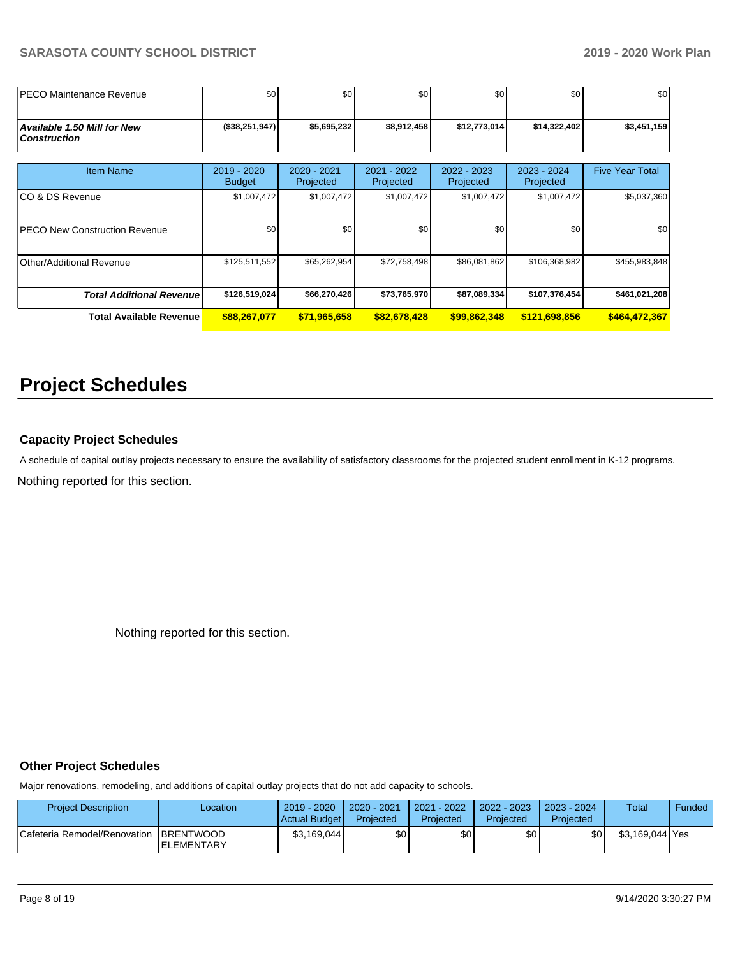| <b>IPECO Maintenance Revenue</b>                   | \$0                          | \$0                      | \$0                      | \$0                      | \$0                      | \$0                    |
|----------------------------------------------------|------------------------------|--------------------------|--------------------------|--------------------------|--------------------------|------------------------|
| Available 1.50 Mill for New<br><b>Construction</b> | (\$38,251,947)               | \$5,695,232              | \$8,912,458              | \$12,773,014             | \$14,322,402             | \$3,451,159            |
| <b>Item Name</b>                                   | 2019 - 2020<br><b>Budget</b> | 2020 - 2021<br>Projected | 2021 - 2022<br>Projected | 2022 - 2023<br>Projected | 2023 - 2024<br>Projected | <b>Five Year Total</b> |
| ICO & DS Revenue                                   | \$1,007,472                  | \$1,007,472              | \$1,007,472              | \$1,007,472              | \$1,007,472              | \$5,037,360            |
| <b>PECO New Construction Revenue</b>               | \$0                          | \$0                      | \$0                      | \$0                      | \$0                      | \$0                    |
| Other/Additional Revenue                           | \$125,511,552                | \$65,262,954             | \$72,758,498             | \$86,081,862             | \$106,368,982            | \$455,983,848          |
| <b>Total Additional Revenuel</b>                   | \$126,519,024                | \$66,270,426             | \$73,765,970             | \$87,089,334             | \$107,376,454            | \$461,021,208          |
| <b>Total Available Revenue</b>                     | \$88,267,077                 | \$71,965,658             | \$82,678,428             | \$99,862,348             | \$121,698,856            | \$464,472,367          |

# **Project Schedules**

## **Capacity Project Schedules**

A schedule of capital outlay projects necessary to ensure the availability of satisfactory classrooms for the projected student enrollment in K-12 programs.

Nothing reported for this section.

Nothing reported for this section.

### **Other Project Schedules**

Major renovations, remodeling, and additions of capital outlay projects that do not add capacity to schools.

| <b>Project Description</b>   | ∟ocation                                | $2019 - 2020$<br>Actual Budget | 2020 - 2021<br>Projected | 2021 - 2022<br>Projected | 2022 - 2023<br><b>Projected</b> | $2023 - 2024$<br>Projected | Total           | Funded |
|------------------------------|-----------------------------------------|--------------------------------|--------------------------|--------------------------|---------------------------------|----------------------------|-----------------|--------|
| Cafeteria Remodel/Renovation | <b>IBRENTWOOD</b><br><b>IELEMENTARY</b> | \$3,169,044                    | \$٥Ι                     | \$0                      | \$0                             | \$0 <sub>1</sub>           | \$3,169,044 Yes |        |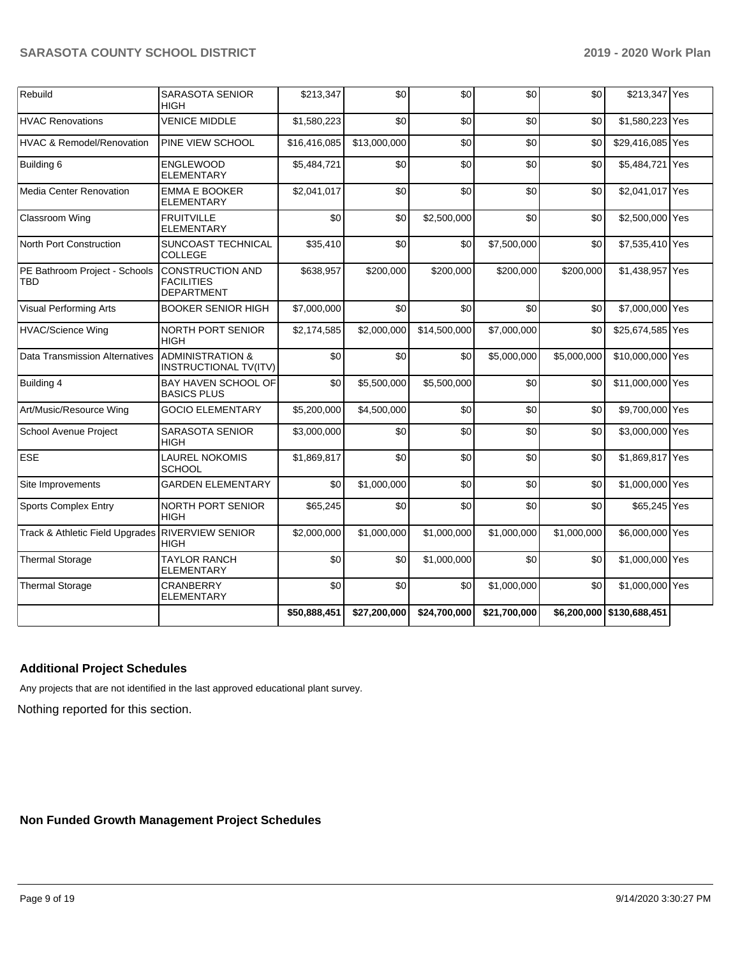| Rebuild                              | <b>SARASOTA SENIOR</b><br>HIGH                                    | \$213,347    | \$0          | \$0          | \$0          | \$0         | \$213,347 Yes             |  |
|--------------------------------------|-------------------------------------------------------------------|--------------|--------------|--------------|--------------|-------------|---------------------------|--|
| <b>HVAC Renovations</b>              | <b>VENICE MIDDLE</b>                                              | \$1,580,223  | \$0          | \$0          | \$0          | \$0         | \$1,580,223 Yes           |  |
| <b>HVAC &amp; Remodel/Renovation</b> | PINE VIEW SCHOOL                                                  | \$16,416,085 | \$13,000,000 | \$0          | \$0          | \$0         | \$29,416,085 Yes          |  |
| Building 6                           | <b>ENGLEWOOD</b><br><b>ELEMENTARY</b>                             | \$5,484,721  | \$0          | \$0          | \$0          | \$0         | \$5,484,721 Yes           |  |
| <b>Media Center Renovation</b>       | <b>EMMA E BOOKER</b><br><b>ELEMENTARY</b>                         | \$2,041,017  | \$0          | \$0          | \$0          | \$0         | \$2,041,017 Yes           |  |
| Classroom Wing                       | <b>FRUITVILLE</b><br><b>ELEMENTARY</b>                            | \$0          | \$0          | \$2,500,000  | \$0          | \$0         | \$2,500,000 Yes           |  |
| North Port Construction              | SUNCOAST TECHNICAL<br><b>COLLEGE</b>                              | \$35,410     | \$0          | \$0          | \$7,500,000  | \$0         | \$7,535,410 Yes           |  |
| PE Bathroom Project - Schools<br>TBD | <b>CONSTRUCTION AND</b><br><b>FACILITIES</b><br><b>DEPARTMENT</b> | \$638,957    | \$200,000    | \$200,000    | \$200,000    | \$200,000   | \$1,438,957 Yes           |  |
| <b>Visual Performing Arts</b>        | <b>BOOKER SENIOR HIGH</b>                                         | \$7,000,000  | \$0          | \$0          | \$0          | \$0         | \$7,000,000 Yes           |  |
| <b>HVAC/Science Wing</b>             | NORTH PORT SENIOR<br><b>HIGH</b>                                  | \$2,174,585  | \$2,000,000  | \$14,500,000 | \$7,000,000  | \$0         | \$25,674,585 Yes          |  |
| Data Transmission Alternatives       | <b>ADMINISTRATION &amp;</b><br>INSTRUCTIONAL TV(ITV)              | \$0          | \$0          | \$0          | \$5,000,000  | \$5,000,000 | \$10,000,000 Yes          |  |
| Building 4                           | BAY HAVEN SCHOOL OF<br><b>BASICS PLUS</b>                         | \$0          | \$5,500,000  | \$5,500,000  | \$0          | \$0         | \$11,000,000 Yes          |  |
| Art/Music/Resource Wing              | <b>GOCIO ELEMENTARY</b>                                           | \$5,200,000  | \$4,500,000  | \$0          | \$0          | \$0         | \$9,700,000 Yes           |  |
| School Avenue Project                | <b>SARASOTA SENIOR</b><br><b>HIGH</b>                             | \$3,000,000  | \$0          | \$0          | \$0          | \$0         | \$3,000,000 Yes           |  |
| ESE                                  | <b>LAUREL NOKOMIS</b><br><b>SCHOOL</b>                            | \$1,869,817  | \$0          | \$0          | \$0          | \$0         | \$1,869,817 Yes           |  |
| Site Improvements                    | <b>GARDEN ELEMENTARY</b>                                          | \$0          | \$1,000,000  | \$0          | \$0          | \$0         | \$1,000,000 Yes           |  |
| <b>Sports Complex Entry</b>          | NORTH PORT SENIOR<br><b>HIGH</b>                                  | \$65,245     | \$0          | \$0          | \$0          | \$0         | \$65,245 Yes              |  |
| Track & Athletic Field Upgrades      | <b>RIVERVIEW SENIOR</b><br><b>HIGH</b>                            | \$2,000,000  | \$1,000,000  | \$1,000,000  | \$1,000,000  | \$1,000,000 | \$6,000,000 Yes           |  |
| <b>Thermal Storage</b>               | <b>TAYLOR RANCH</b><br><b>ELEMENTARY</b>                          | \$0          | \$0          | \$1,000,000  | \$0          | \$0         | \$1,000,000 Yes           |  |
| <b>Thermal Storage</b>               | <b>CRANBERRY</b><br><b>ELEMENTARY</b>                             | \$0          | \$0          | \$0          | \$1,000,000  | \$0         | \$1,000,000 Yes           |  |
|                                      |                                                                   | \$50,888,451 | \$27,200,000 | \$24,700,000 | \$21,700,000 |             | \$6,200,000 \$130,688,451 |  |

## **Additional Project Schedules**

Any projects that are not identified in the last approved educational plant survey.

Nothing reported for this section.

## **Non Funded Growth Management Project Schedules**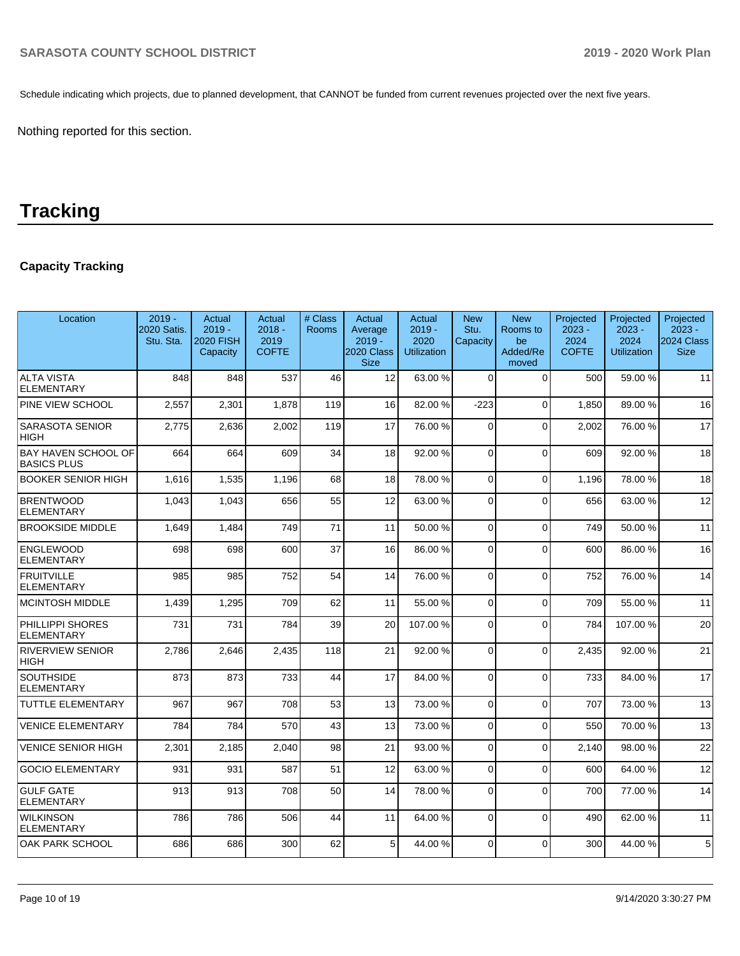Schedule indicating which projects, due to planned development, that CANNOT be funded from current revenues projected over the next five years.

Nothing reported for this section.

# **Tracking**

## **Capacity Tracking**

| Location                                         | $2019 -$<br>2020 Satis.<br>Stu. Sta. | Actual<br>$2019 -$<br>2020 FISH<br>Capacity | Actual<br>$2018 -$<br>2019<br><b>COFTE</b> | # Class<br><b>Rooms</b> | Actual<br>Average<br>$2019 -$<br>2020 Class<br><b>Size</b> | Actual<br>$2019 -$<br>2020<br><b>Utilization</b> | <b>New</b><br>Stu.<br>Capacity | <b>New</b><br>Rooms to<br>be<br>Added/Re<br>moved | Projected<br>$2023 -$<br>2024<br><b>COFTE</b> | Projected<br>$2023 -$<br>2024<br><b>Utilization</b> | Projected<br>$2023 -$<br>2024 Class<br><b>Size</b> |
|--------------------------------------------------|--------------------------------------|---------------------------------------------|--------------------------------------------|-------------------------|------------------------------------------------------------|--------------------------------------------------|--------------------------------|---------------------------------------------------|-----------------------------------------------|-----------------------------------------------------|----------------------------------------------------|
| <b>ALTA VISTA</b><br><b>ELEMENTARY</b>           | 848                                  | 848                                         | 537                                        | 46                      | 12                                                         | 63.00 %                                          | $\Omega$                       | $\Omega$                                          | 500                                           | 59.00 %                                             | 11                                                 |
| PINE VIEW SCHOOL                                 | 2,557                                | 2,301                                       | 1,878                                      | 119                     | 16                                                         | 82.00 %                                          | $-223$                         | $\Omega$                                          | 1.850                                         | 89.00 %                                             | 16                                                 |
| <b>SARASOTA SENIOR</b><br><b>HIGH</b>            | 2,775                                | 2,636                                       | 2,002                                      | 119                     | 17                                                         | 76.00 %                                          | $\Omega$                       | $\Omega$                                          | 2.002                                         | 76.00 %                                             | 17                                                 |
| <b>BAY HAVEN SCHOOL OF</b><br><b>BASICS PLUS</b> | 664                                  | 664                                         | 609                                        | 34                      | 18                                                         | 92.00 %                                          | $\Omega$                       | $\Omega$                                          | 609                                           | 92.00%                                              | 18                                                 |
| <b>BOOKER SENIOR HIGH</b>                        | 1.616                                | 1,535                                       | 1,196                                      | 68                      | 18                                                         | 78.00%                                           | $\Omega$                       | $\Omega$                                          | 1.196                                         | 78.00 %                                             | 18                                                 |
| <b>BRENTWOOD</b><br><b>ELEMENTARY</b>            | 1,043                                | 1,043                                       | 656                                        | 55                      | 12                                                         | 63.00 %                                          | 0                              | $\Omega$                                          | 656                                           | 63.00 %                                             | 12                                                 |
| <b>BROOKSIDE MIDDLE</b>                          | 1,649                                | 1,484                                       | 749                                        | 71                      | 11                                                         | 50.00%                                           | $\Omega$                       | $\mathbf 0$                                       | 749                                           | 50.00 %                                             | 11                                                 |
| <b>ENGLEWOOD</b><br><b>ELEMENTARY</b>            | 698                                  | 698                                         | 600                                        | 37                      | 16                                                         | 86.00 %                                          | $\Omega$                       | $\Omega$                                          | 600                                           | 86.00 %                                             | 16                                                 |
| <b>FRUITVILLE</b><br><b>ELEMENTARY</b>           | 985                                  | 985                                         | 752                                        | 54                      | 14                                                         | 76.00 %                                          | $\Omega$                       | $\Omega$                                          | 752                                           | 76.00 %                                             | 14                                                 |
| <b>MCINTOSH MIDDLE</b>                           | 1,439                                | 1,295                                       | 709                                        | 62                      | 11                                                         | 55.00 %                                          | $\Omega$                       | $\Omega$                                          | 709                                           | 55.00 %                                             | 11                                                 |
| PHILLIPPI SHORES<br><b>ELEMENTARY</b>            | 731                                  | 731                                         | 784                                        | 39                      | 20                                                         | 107.00%                                          | $\Omega$                       | $\Omega$                                          | 784                                           | 107.00%                                             | 20                                                 |
| <b>RIVERVIEW SENIOR</b><br><b>HIGH</b>           | 2,786                                | 2,646                                       | 2,435                                      | 118                     | 21                                                         | 92.00 %                                          | $\Omega$                       | $\Omega$                                          | 2,435                                         | 92.00 %                                             | 21                                                 |
| <b>SOUTHSIDE</b><br><b>ELEMENTARY</b>            | 873                                  | 873                                         | 733                                        | 44                      | 17                                                         | 84.00 %                                          | $\Omega$                       | $\Omega$                                          | 733                                           | 84.00 %                                             | 17                                                 |
| <b>TUTTLE ELEMENTARY</b>                         | 967                                  | 967                                         | 708                                        | 53                      | 13                                                         | 73.00 %                                          | $\Omega$                       | $\Omega$                                          | 707                                           | 73.00 %                                             | 13                                                 |
| <b>VENICE ELEMENTARY</b>                         | 784                                  | 784                                         | 570                                        | 43                      | 13                                                         | 73.00 %                                          | $\Omega$                       | $\Omega$                                          | 550                                           | 70.00%                                              | 13                                                 |
| <b>VENICE SENIOR HIGH</b>                        | 2,301                                | 2,185                                       | 2,040                                      | 98                      | 21                                                         | 93.00 %                                          | $\Omega$                       | $\mathbf 0$                                       | 2,140                                         | 98.00 %                                             | 22                                                 |
| <b>GOCIO ELEMENTARY</b>                          | 931                                  | 931                                         | 587                                        | 51                      | 12                                                         | 63.00 %                                          | $\Omega$                       | $\Omega$                                          | 600                                           | 64.00%                                              | 12                                                 |
| <b>GULF GATE</b><br><b>ELEMENTARY</b>            | 913                                  | 913                                         | 708                                        | 50                      | 14                                                         | 78.00 %                                          | $\Omega$                       | $\Omega$                                          | 700                                           | 77.00 %                                             | 14                                                 |
| <b>WILKINSON</b><br><b>ELEMENTARY</b>            | 786                                  | 786                                         | 506                                        | 44                      | 11                                                         | 64.00%                                           | $\Omega$                       | $\Omega$                                          | 490                                           | 62.00%                                              | 11                                                 |
| <b>OAK PARK SCHOOL</b>                           | 686                                  | 686                                         | 300                                        | 62                      | 5                                                          | 44.00 %                                          | $\Omega$                       | $\Omega$                                          | 300                                           | 44.00 %                                             | $5\phantom{.0}$                                    |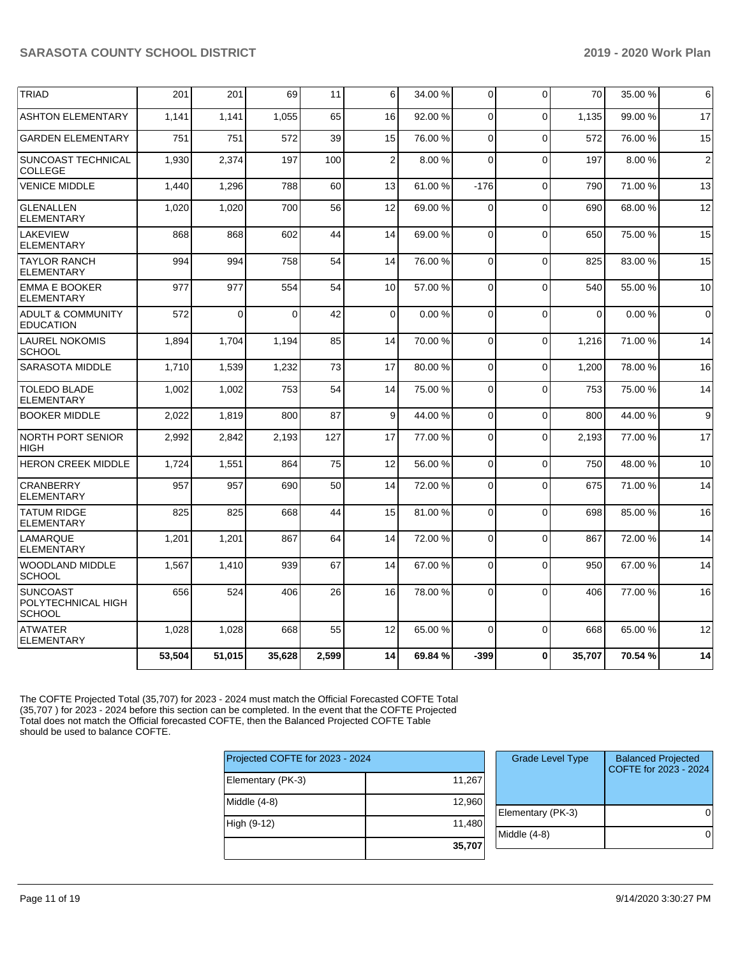| <b>TRIAD</b>                                           | 201    | 201          | 69       | 11    | 6              | 34.00 % | $\overline{0}$ | $\Omega$     | 70       | 35.00 % | 6              |
|--------------------------------------------------------|--------|--------------|----------|-------|----------------|---------|----------------|--------------|----------|---------|----------------|
| <b>ASHTON ELEMENTARY</b>                               | 1.141  | 1.141        | 1,055    | 65    | 16             | 92.00%  | $\Omega$       | $\Omega$     | 1.135    | 99.00 % | 17             |
| <b>GARDEN ELEMENTARY</b>                               | 751    | 751          | 572      | 39    | 15             | 76.00 % | $\Omega$       | $\Omega$     | 572      | 76.00 % | 15             |
| SUNCOAST TECHNICAL<br><b>COLLEGE</b>                   | 1,930  | 2,374        | 197      | 100   | $\overline{2}$ | 8.00%   | $\Omega$       | $\Omega$     | 197      | 8.00%   | $\overline{2}$ |
| <b>VENICE MIDDLE</b>                                   | 1.440  | 1,296        | 788      | 60    | 13             | 61.00%  | $-176$         | $\Omega$     | 790      | 71.00 % | 13             |
| <b>GLENALLEN</b><br><b>ELEMENTARY</b>                  | 1,020  | 1,020        | 700      | 56    | 12             | 69.00 % | $\Omega$       | $\Omega$     | 690      | 68.00 % | 12             |
| <b>LAKEVIEW</b><br><b>ELEMENTARY</b>                   | 868    | 868          | 602      | 44    | 14             | 69.00 % | $\mathbf 0$    | $\Omega$     | 650      | 75.00 % | 15             |
| <b>TAYLOR RANCH</b><br><b>ELEMENTARY</b>               | 994    | 994          | 758      | 54    | 14             | 76.00 % | 0              | $\Omega$     | 825      | 83.00 % | 15             |
| <b>EMMA E BOOKER</b><br><b>ELEMENTARY</b>              | 977    | 977          | 554      | 54    | 10             | 57.00 % | $\Omega$       | $\Omega$     | 540      | 55.00 % | 10             |
| <b>ADULT &amp; COMMUNITY</b><br><b>EDUCATION</b>       | 572    | $\mathbf{0}$ | $\Omega$ | 42    | $\Omega$       | 0.00%   | $\Omega$       | $\Omega$     | $\Omega$ | 0.00%   | $\Omega$       |
| <b>LAUREL NOKOMIS</b><br><b>SCHOOL</b>                 | 1,894  | 1.704        | 1,194    | 85    | 14             | 70.00%  | $\mathbf 0$    | $\Omega$     | 1,216    | 71.00 % | 14             |
| <b>SARASOTA MIDDLE</b>                                 | 1,710  | 1,539        | 1,232    | 73    | 17             | 80.00 % | $\mathbf 0$    | $\Omega$     | 1,200    | 78.00%  | 16             |
| <b>TOLEDO BLADE</b><br><b>ELEMENTARY</b>               | 1,002  | 1,002        | 753      | 54    | 14             | 75.00 % | $\mathbf 0$    | $\Omega$     | 753      | 75.00 % | 14             |
| <b>BOOKER MIDDLE</b>                                   | 2,022  | 1,819        | 800      | 87    | 9              | 44.00 % | $\mathbf 0$    | $\Omega$     | 800      | 44.00%  | 9              |
| <b>NORTH PORT SENIOR</b><br><b>HIGH</b>                | 2,992  | 2,842        | 2,193    | 127   | 17             | 77.00 % | 0              | $\Omega$     | 2,193    | 77.00 % | 17             |
| <b>HERON CREEK MIDDLE</b>                              | 1,724  | 1,551        | 864      | 75    | 12             | 56.00 % | $\Omega$       | $\Omega$     | 750      | 48.00 % | 10             |
| <b>CRANBERRY</b><br><b>ELEMENTARY</b>                  | 957    | 957          | 690      | 50    | 14             | 72.00 % | $\Omega$       | $\mathbf{0}$ | 675      | 71.00 % | 14             |
| <b>TATUM RIDGE</b><br><b>ELEMENTARY</b>                | 825    | 825          | 668      | 44    | 15             | 81.00 % | 0              | $\Omega$     | 698      | 85.00 % | 16             |
| <b>LAMARQUE</b><br><b>ELEMENTARY</b>                   | 1,201  | 1,201        | 867      | 64    | 14             | 72.00 % | 0              | $\Omega$     | 867      | 72.00 % | 14             |
| <b>WOODLAND MIDDLE</b><br><b>SCHOOL</b>                | 1,567  | 1,410        | 939      | 67    | 14             | 67.00 % | $\mathbf 0$    | $\Omega$     | 950      | 67.00 % | 14             |
| <b>SUNCOAST</b><br>POLYTECHNICAL HIGH<br><b>SCHOOL</b> | 656    | 524          | 406      | 26    | 16             | 78.00 % | $\Omega$       | $\Omega$     | 406      | 77.00 % | 16             |
| <b>ATWATER</b><br><b>ELEMENTARY</b>                    | 1,028  | 1,028        | 668      | 55    | 12             | 65.00 % | $\mathbf 0$    | $\Omega$     | 668      | 65.00 % | 12             |
|                                                        | 53,504 | 51,015       | 35,628   | 2,599 | 14             | 69.84 % | -399           | $\mathbf{0}$ | 35,707   | 70.54 % | 14             |

The COFTE Projected Total (35,707) for 2023 - 2024 must match the Official Forecasted COFTE Total (35,707 ) for 2023 - 2024 before this section can be completed. In the event that the COFTE Projected Total does not match the Official forecasted COFTE, then the Balanced Projected COFTE Table should be used to balance COFTE.

| Projected COFTE for 2023 - 2024 |        | <b>Grade Leve</b> |
|---------------------------------|--------|-------------------|
| Elementary (PK-3)               | 11,267 |                   |
| Middle (4-8)                    | 12,960 | Elementary (PI    |
| High (9-12)                     | 11,480 | Middle $(4-8)$    |
|                                 | 35,707 |                   |

| <b>Grade Level Type</b> | <b>Balanced Projected</b><br>COFTE for 2023 - 2024 |
|-------------------------|----------------------------------------------------|
| Elementary (PK-3)       |                                                    |
| Middle (4-8)            |                                                    |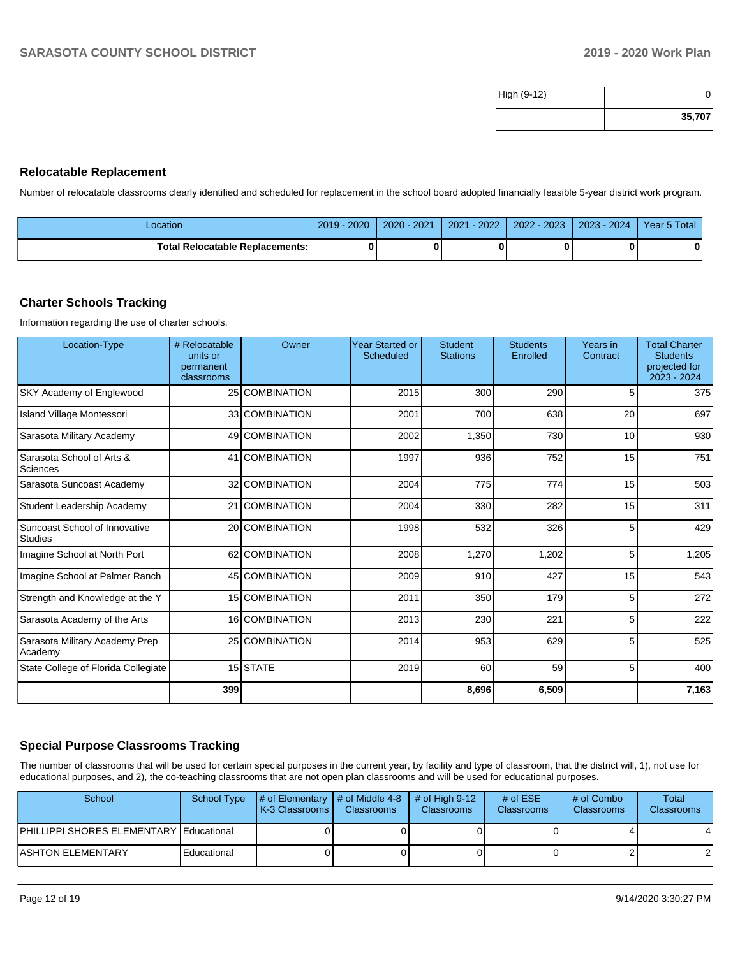| High (9-12) |        |
|-------------|--------|
|             | 35,707 |

### **Relocatable Replacement**

Number of relocatable classrooms clearly identified and scheduled for replacement in the school board adopted financially feasible 5-year district work program.

| Location                          | $2019 - 2020$ | 2020 - 2021 | 2021 - 2022 | 2022 - 2023 | 2023 - 2024 | Year 5 Total |
|-----------------------------------|---------------|-------------|-------------|-------------|-------------|--------------|
| Total Relocatable Replacements: I |               |             |             |             |             |              |

### **Charter Schools Tracking**

Information regarding the use of charter schools.

| Location-Type                             | # Relocatable<br>units or<br>permanent<br>classrooms | Owner          | <b>Year Started or</b><br><b>Scheduled</b> | <b>Student</b><br><b>Stations</b> | <b>Students</b><br>Enrolled | Years in<br>Contract | <b>Total Charter</b><br><b>Students</b><br>projected for<br>2023 - 2024 |
|-------------------------------------------|------------------------------------------------------|----------------|--------------------------------------------|-----------------------------------|-----------------------------|----------------------|-------------------------------------------------------------------------|
| <b>SKY Academy of Englewood</b>           |                                                      | 25 COMBINATION | 2015                                       | 300                               | 290                         | 5                    | 375                                                                     |
| Island Village Montessori                 |                                                      | 33 COMBINATION | 2001                                       | 700                               | 638                         | 20                   | 697                                                                     |
| Sarasota Military Academy                 |                                                      | 49 COMBINATION | 2002                                       | 1,350                             | 730                         | 10                   | 930                                                                     |
| Sarasota School of Arts &<br>Sciences     |                                                      | 41 COMBINATION | 1997                                       | 936                               | 752                         | 15                   | 751                                                                     |
| Sarasota Suncoast Academy                 |                                                      | 32 COMBINATION | 2004                                       | 775                               | 774                         | 15                   | 503                                                                     |
| Student Leadership Academy                |                                                      | 21 COMBINATION | 2004                                       | 330                               | 282                         | 15                   | 311                                                                     |
| Suncoast School of Innovative<br>Studies  |                                                      | 20 COMBINATION | 1998                                       | 532                               | 326                         | 5                    | 429                                                                     |
| Imagine School at North Port              |                                                      | 62 COMBINATION | 2008                                       | 1,270                             | 1,202                       | 5                    | 1,205                                                                   |
| Imagine School at Palmer Ranch            |                                                      | 45 COMBINATION | 2009                                       | 910                               | 427                         | 15                   | 543                                                                     |
| Strength and Knowledge at the Y           |                                                      | 15 COMBINATION | 2011                                       | 350                               | 179                         | 5                    | 272                                                                     |
| Sarasota Academy of the Arts              |                                                      | 16 COMBINATION | 2013                                       | 230                               | 221                         | 5                    | 222                                                                     |
| Sarasota Military Academy Prep<br>Academy |                                                      | 25 COMBINATION | 2014                                       | 953                               | 629                         | 5                    | 525                                                                     |
| State College of Florida Collegiate       |                                                      | 15 STATE       | 2019                                       | 60                                | 59                          | 5                    | 400                                                                     |
|                                           | 399                                                  |                |                                            | 8,696                             | 6,509                       |                      | 7,163                                                                   |

### **Special Purpose Classrooms Tracking**

The number of classrooms that will be used for certain special purposes in the current year, by facility and type of classroom, that the district will, 1), not use for educational purposes, and 2), the co-teaching classrooms that are not open plan classrooms and will be used for educational purposes.

| School                                  | <b>School Type</b> | $\parallel$ # of Elementary $\parallel$ # of Middle 4-8 $\parallel$<br><b>K-3 Classrooms</b> | <b>Classrooms</b> | $\#$ of High 9-12<br><b>Classrooms</b> | # of $ESE$<br><b>Classrooms</b> | # of Combo<br><b>Classrooms</b> | Total<br><b>Classrooms</b> |
|-----------------------------------------|--------------------|----------------------------------------------------------------------------------------------|-------------------|----------------------------------------|---------------------------------|---------------------------------|----------------------------|
| PHILLIPPI SHORES ELEMENTARY Educational |                    |                                                                                              |                   |                                        |                                 |                                 | 4                          |
| <b>ASHTON ELEMENTARY</b>                | Educational        |                                                                                              |                   |                                        |                                 |                                 |                            |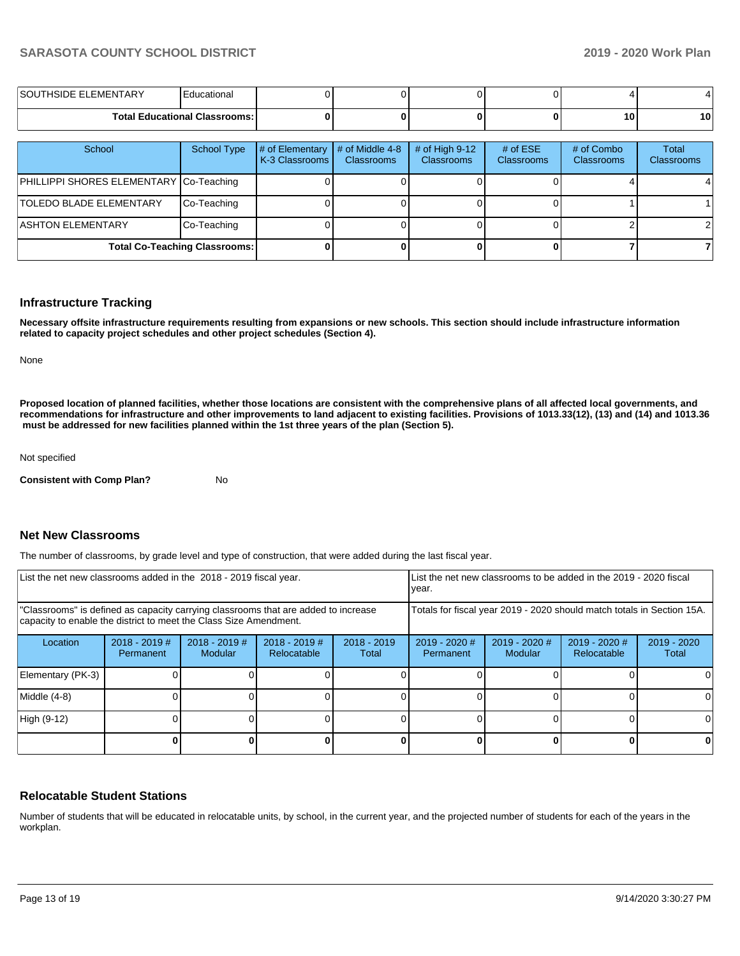| LEMENTARY<br>ISOU1<br>⊣נ וו | ∃ducationai                            |  |  |                 |    |
|-----------------------------|----------------------------------------|--|--|-----------------|----|
|                             | <b>Total Educational Classrooms: I</b> |  |  | 10 <sub>1</sub> | 10 |

| School                                  | <b>School Type</b>                   | # of Elementary<br>K-3 Classrooms | # of Middle 4-8<br><b>Classrooms</b> | # of High $9-12$<br><b>Classrooms</b> | # of $ESE$<br>Classrooms | # of Combo<br><b>Classrooms</b> | Total<br><b>Classrooms</b> |
|-----------------------------------------|--------------------------------------|-----------------------------------|--------------------------------------|---------------------------------------|--------------------------|---------------------------------|----------------------------|
| PHILLIPPI SHORES ELEMENTARY Co-Teaching |                                      |                                   |                                      |                                       |                          |                                 |                            |
| <b>TOLEDO BLADE ELEMENTARY</b>          | Co-Teaching                          |                                   |                                      |                                       |                          |                                 |                            |
| <b>ASHTON ELEMENTARY</b>                | Co-Teaching                          |                                   |                                      |                                       |                          |                                 |                            |
|                                         | <b>Total Co-Teaching Classrooms:</b> |                                   |                                      |                                       |                          |                                 |                            |

#### **Infrastructure Tracking**

**Necessary offsite infrastructure requirements resulting from expansions or new schools. This section should include infrastructure information related to capacity project schedules and other project schedules (Section 4).** 

None

**Proposed location of planned facilities, whether those locations are consistent with the comprehensive plans of all affected local governments, and recommendations for infrastructure and other improvements to land adjacent to existing facilities. Provisions of 1013.33(12), (13) and (14) and 1013.36** must be addressed for new facilities planned within the 1st three years of the plan (Section 5).

Not specified

**Consistent with Comp Plan?** No

### **Net New Classrooms**

The number of classrooms, by grade level and type of construction, that were added during the last fiscal year.

| List the net new classrooms added in the 2018 - 2019 fiscal year. |                                                                                                                                                         |                            | List the net new classrooms to be added in the 2019 - 2020 fiscal<br>year. |                                                                        |                                     |                            |                                |                        |  |
|-------------------------------------------------------------------|---------------------------------------------------------------------------------------------------------------------------------------------------------|----------------------------|----------------------------------------------------------------------------|------------------------------------------------------------------------|-------------------------------------|----------------------------|--------------------------------|------------------------|--|
|                                                                   | "Classrooms" is defined as capacity carrying classrooms that are added to increase<br>capacity to enable the district to meet the Class Size Amendment. |                            |                                                                            | Totals for fiscal year 2019 - 2020 should match totals in Section 15A. |                                     |                            |                                |                        |  |
| Location                                                          | $2018 - 2019$ #<br>Permanent                                                                                                                            | $2018 - 2019$ #<br>Modular | $2018 - 2019$ #<br>Relocatable                                             | $2018 - 2019$<br>Total                                                 | $2019 - 2020$ #<br><b>Permanent</b> | $2019 - 2020$ #<br>Modular | $2019 - 2020$ #<br>Relocatable | $2019 - 2020$<br>Total |  |
| Elementary (PK-3)                                                 |                                                                                                                                                         |                            |                                                                            |                                                                        |                                     |                            |                                |                        |  |
| Middle (4-8)                                                      |                                                                                                                                                         |                            |                                                                            |                                                                        |                                     |                            |                                |                        |  |
| High (9-12)                                                       |                                                                                                                                                         |                            |                                                                            |                                                                        |                                     |                            |                                |                        |  |
|                                                                   |                                                                                                                                                         |                            |                                                                            |                                                                        |                                     |                            |                                |                        |  |

## **Relocatable Student Stations**

Number of students that will be educated in relocatable units, by school, in the current year, and the projected number of students for each of the years in the workplan.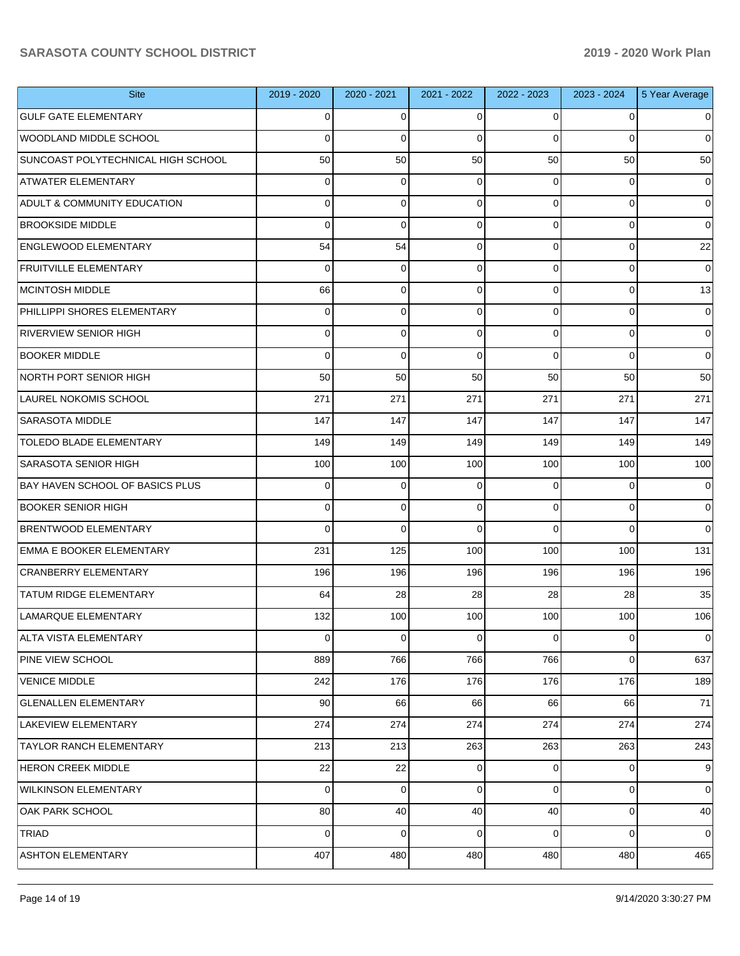| <b>Site</b>                            | 2019 - 2020    | 2020 - 2021 | 2021 - 2022 | 2022 - 2023    | 2023 - 2024 | 5 Year Average |
|----------------------------------------|----------------|-------------|-------------|----------------|-------------|----------------|
| <b>GULF GATE ELEMENTARY</b>            | 0              | 0           | 0           | $\Omega$       | 0           | 0              |
| WOODLAND MIDDLE SCHOOL                 | 0              | $\Omega$    | 0           | $\Omega$       | $\Omega$    | $\Omega$       |
| SUNCOAST POLYTECHNICAL HIGH SCHOOL     | 50             | 50          | 50          | 50             | 50          | 50             |
| <b>ATWATER ELEMENTARY</b>              | $\Omega$       | $\mathbf 0$ | 0           | $\Omega$       | 0           | 0              |
| <b>ADULT &amp; COMMUNITY EDUCATION</b> | 0              | $\mathbf 0$ | 0           | $\Omega$       | 0           | 0              |
| <b>BROOKSIDE MIDDLE</b>                | 0              | $\mathbf 0$ | 0           | $\Omega$       | 0           | $\Omega$       |
| <b>ENGLEWOOD ELEMENTARY</b>            | 54             | 54          | 0           | $\Omega$       | 0           | 22             |
| <b>FRUITVILLE ELEMENTARY</b>           | $\Omega$       | $\mathbf 0$ | 0           | $\Omega$       | 0           | 0              |
| <b>MCINTOSH MIDDLE</b>                 | 66             | $\mathbf 0$ | 0           | $\Omega$       | 0           | 13             |
| PHILLIPPI SHORES ELEMENTARY            | $\Omega$       | $\mathbf 0$ | 0           | $\Omega$       | 0           | 0              |
| <b>RIVERVIEW SENIOR HIGH</b>           | $\Omega$       | $\mathbf 0$ | 0           | $\overline{0}$ | 0           | 0              |
| <b>BOOKER MIDDLE</b>                   | $\Omega$       | $\Omega$    | $\Omega$    | $\Omega$       | $\Omega$    | $\Omega$       |
| NORTH PORT SENIOR HIGH                 | 50             | 50          | 50          | 50             | 50          | 50             |
| LAUREL NOKOMIS SCHOOL                  | 271            | 271         | 271         | 271            | 271         | 271            |
| <b>SARASOTA MIDDLE</b>                 | 147            | 147         | 147         | 147            | 147         | 147            |
| TOLEDO BLADE ELEMENTARY                | 149            | 149         | 149         | 149            | 149         | 149            |
| <b>SARASOTA SENIOR HIGH</b>            | 100            | 100         | 100         | 100            | 100         | 100            |
| BAY HAVEN SCHOOL OF BASICS PLUS        | 0              | 0           | 0           | $\Omega$       | $\Omega$    | 0              |
| <b>BOOKER SENIOR HIGH</b>              | $\Omega$       | $\mathbf 0$ | 0           | $\Omega$       | 0           | 0              |
| <b>BRENTWOOD ELEMENTARY</b>            | $\Omega$       | $\Omega$    | $\Omega$    | $\Omega$       | $\Omega$    | $\Omega$       |
| <b>EMMA E BOOKER ELEMENTARY</b>        | 231            | 125         | 100         | 100            | 100         | 131            |
| <b>CRANBERRY ELEMENTARY</b>            | 196            | 196         | 196         | 196            | 196         | 196            |
| <b>TATUM RIDGE ELEMENTARY</b>          | 64             | 28          | 28          | 28             | 28          | 35             |
| LAMARQUE ELEMENTARY                    | 132            | 100         | 100         | 100            | 100         | 106            |
| ALTA VISTA ELEMENTARY                  | $\overline{0}$ | 0           | 0           | $\overline{0}$ | 0           | $\overline{0}$ |
| PINE VIEW SCHOOL                       | 889            | 766         | 766         | 766            | $\mathbf 0$ | 637            |
| <b>VENICE MIDDLE</b>                   | 242            | 176         | 176         | 176            | 176         | 189            |
| <b>GLENALLEN ELEMENTARY</b>            | 90             | 66          | 66          | 66             | 66          | 71             |
| LAKEVIEW ELEMENTARY                    | 274            | 274         | 274         | 274            | 274         | 274            |
| <b>TAYLOR RANCH ELEMENTARY</b>         | 213            | 213         | 263         | 263            | 263         | 243            |
| <b>HERON CREEK MIDDLE</b>              | 22             | 22          | 0           | $\overline{0}$ | 0           | 9              |
| <b>WILKINSON ELEMENTARY</b>            | $\Omega$       | 0           | 0           | $\overline{0}$ | $\mathbf 0$ | $\overline{0}$ |
| OAK PARK SCHOOL                        | 80             | 40          | 40          | 40             | 0           | 40             |
| <b>TRIAD</b>                           | $\Omega$       | $\mathbf 0$ | 0           | $\overline{0}$ | 0           | $\overline{0}$ |
| <b>ASHTON ELEMENTARY</b>               | 407            | 480         | 480         | 480            | 480         | 465            |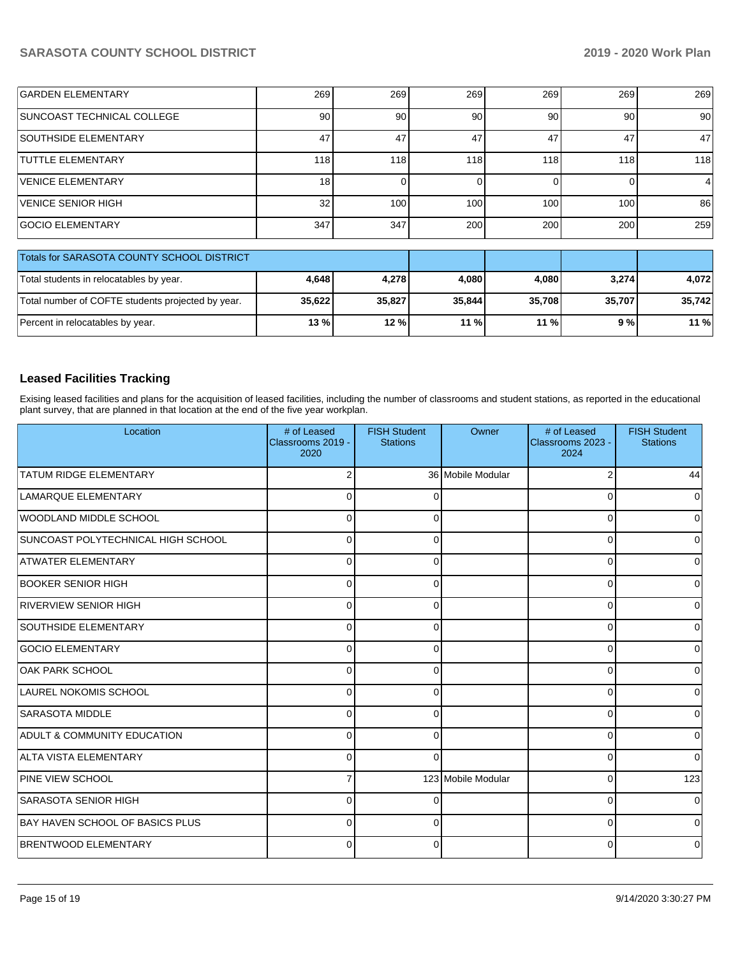| <b>GARDEN ELEMENTARY</b>   | 269 | 269 | 269              | 269  | 269 | 269 |
|----------------------------|-----|-----|------------------|------|-----|-----|
| SUNCOAST TECHNICAL COLLEGE | 90  | 90  | 90               | 90   | 90  | 90  |
| SOUTHSIDE ELEMENTARY       | 47  | 47  | 47               | 47   | 47  | 47  |
| <b>TUTTLE ELEMENTARY</b>   | 118 | 118 | 118              | 118  | 118 | 118 |
| VENICE ELEMENTARY          | 18  |     |                  |      |     |     |
| VENICE SENIOR HIGH         | 32  | 100 | 100 <sub>1</sub> | 100. | 100 | 86  |
| <b>GOCIO ELEMENTARY</b>    | 347 | 347 | 200              | 200  | 200 | 259 |

| Totals for SARASOTA COUNTY SCHOOL DISTRICT        |        |        |        |        |        |        |
|---------------------------------------------------|--------|--------|--------|--------|--------|--------|
| Total students in relocatables by year.           | 4.648  | 4.278  | 4.080  | 4.080  | 3.274  | 4.072  |
| Total number of COFTE students projected by year. | 35.622 | 35.827 | 35,844 | 35.708 | 35.707 | 35.742 |
| Percent in relocatables by year.                  | $13\%$ | 12%    | 11%    | $11\%$ | 9 % l  | 11 %   |

## **Leased Facilities Tracking**

Exising leased facilities and plans for the acquisition of leased facilities, including the number of classrooms and student stations, as reported in the educational plant survey, that are planned in that location at the end of the five year workplan.

| Location                               | # of Leased<br>Classrooms 2019 -<br>2020 | <b>FISH Student</b><br><b>Stations</b> | Owner              | # of Leased<br>Classrooms 2023 -<br>2024 | <b>FISH Student</b><br><b>Stations</b> |
|----------------------------------------|------------------------------------------|----------------------------------------|--------------------|------------------------------------------|----------------------------------------|
| <b>TATUM RIDGE ELEMENTARY</b>          | $\overline{2}$                           |                                        | 36 Mobile Modular  | $\overline{2}$                           | 44                                     |
| LAMARQUE ELEMENTARY                    | 0                                        | 0                                      |                    | $\Omega$                                 | 0                                      |
| WOODLAND MIDDLE SCHOOL                 | $\Omega$                                 | O                                      |                    | 0                                        | 0                                      |
| SUNCOAST POLYTECHNICAL HIGH SCHOOL     | $\Omega$                                 | 0                                      |                    | $\Omega$                                 |                                        |
| ATWATER ELEMENTARY                     | $\Omega$                                 | 0                                      |                    | 0                                        | <sup>0</sup>                           |
| <b>BOOKER SENIOR HIGH</b>              | $\Omega$                                 | O                                      |                    | $\Omega$                                 |                                        |
| <b>RIVERVIEW SENIOR HIGH</b>           | $\Omega$                                 |                                        |                    | 0                                        |                                        |
| <b>SOUTHSIDE ELEMENTARY</b>            | $\Omega$                                 | ∩                                      |                    | 0                                        |                                        |
| <b>GOCIO ELEMENTARY</b>                | $\Omega$                                 | $\Omega$                               |                    | 0                                        | U                                      |
| OAK PARK SCHOOL                        | $\Omega$                                 | $\Omega$                               |                    | 0                                        | ∩                                      |
| LAUREL NOKOMIS SCHOOL                  | $\Omega$                                 | ∩                                      |                    | 0                                        | <sup>0</sup>                           |
| <b>SARASOTA MIDDLE</b>                 | $\Omega$                                 | $\Omega$                               |                    | $\mathbf 0$                              | 0                                      |
| <b>ADULT &amp; COMMUNITY EDUCATION</b> | $\Omega$                                 | 0                                      |                    | 0                                        | <sup>0</sup>                           |
| ALTA VISTA ELEMENTARY                  | 0                                        | ∩                                      |                    | 0                                        | $\Omega$                               |
| <b>PINE VIEW SCHOOL</b>                |                                          |                                        | 123 Mobile Modular | $\Omega$                                 | 123                                    |
| <b>SARASOTA SENIOR HIGH</b>            | $\Omega$                                 |                                        |                    | $\Omega$                                 |                                        |
| <b>BAY HAVEN SCHOOL OF BASICS PLUS</b> | $\Omega$                                 | n                                      |                    | $\Omega$                                 |                                        |
| <b>BRENTWOOD ELEMENTARY</b>            | $\Omega$                                 | 0                                      |                    | $\Omega$                                 | 0                                      |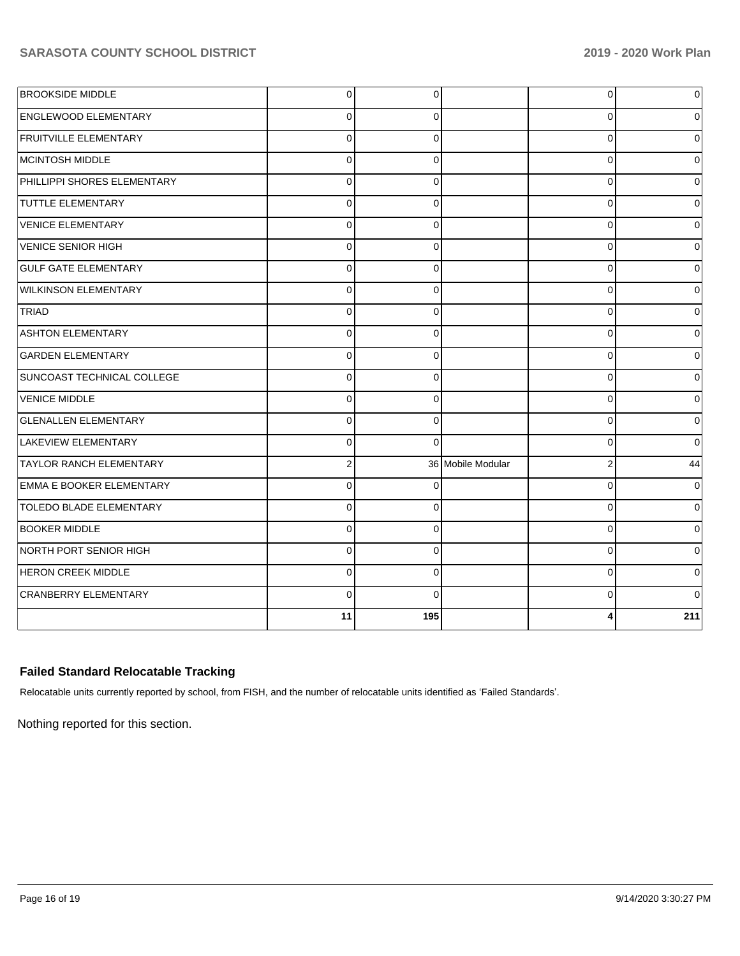| <b>BROOKSIDE MIDDLE</b>         | $\overline{0}$ | $\Omega$ |                   | $\overline{0}$ | $\overline{0}$ |
|---------------------------------|----------------|----------|-------------------|----------------|----------------|
| <b>ENGLEWOOD ELEMENTARY</b>     | $\Omega$       | $\Omega$ |                   | $\Omega$       | $\overline{0}$ |
| <b>FRUITVILLE ELEMENTARY</b>    | $\Omega$       | $\Omega$ |                   | $\Omega$       | $\overline{0}$ |
| MCINTOSH MIDDLE                 | $\Omega$       | $\Omega$ |                   | $\Omega$       | $\overline{0}$ |
| PHILLIPPI SHORES ELEMENTARY     | $\Omega$       | $\Omega$ |                   | $\Omega$       | $\overline{0}$ |
| <b>TUTTLE ELEMENTARY</b>        | $\Omega$       | 0        |                   | $\Omega$       | $\overline{0}$ |
| <b>VENICE ELEMENTARY</b>        | $\Omega$       | $\Omega$ |                   | $\Omega$       | $\Omega$       |
| VENICE SENIOR HIGH              | $\Omega$       | $\Omega$ |                   | $\Omega$       | $\Omega$       |
| <b>GULF GATE ELEMENTARY</b>     | $\Omega$       | $\Omega$ |                   | $\Omega$       | $\Omega$       |
| <b>WILKINSON ELEMENTARY</b>     | $\Omega$       | $\Omega$ |                   | $\Omega$       | $\Omega$       |
| TRIAD                           | $\Omega$       | $\Omega$ |                   | $\Omega$       | $\Omega$       |
| <b>ASHTON ELEMENTARY</b>        | $\Omega$       | $\Omega$ |                   | $\Omega$       | $\Omega$       |
| <b>GARDEN ELEMENTARY</b>        | $\Omega$       | $\Omega$ |                   | $\Omega$       | $\Omega$       |
| SUNCOAST TECHNICAL COLLEGE      | $\Omega$       | $\Omega$ |                   | $\Omega$       | $\Omega$       |
| <b>VENICE MIDDLE</b>            | $\Omega$       | $\Omega$ |                   | $\Omega$       | $\Omega$       |
| <b>GLENALLEN ELEMENTARY</b>     | $\Omega$       | $\Omega$ |                   | $\Omega$       | 0              |
| <b>LAKEVIEW ELEMENTARY</b>      | $\Omega$       | $\Omega$ |                   | 0              | $\Omega$       |
| <b>TAYLOR RANCH ELEMENTARY</b>  | $\overline{2}$ |          | 36 Mobile Modular | 2              | 44             |
| <b>EMMA E BOOKER ELEMENTARY</b> | $\Omega$       |          |                   | 0              | 0              |
| <b>TOLEDO BLADE ELEMENTARY</b>  | $\Omega$       | $\Omega$ |                   | $\Omega$       | $\overline{0}$ |
| <b>BOOKER MIDDLE</b>            | $\Omega$       | $\Omega$ |                   | $\Omega$       | $\Omega$       |
| NORTH PORT SENIOR HIGH          | $\Omega$       | $\Omega$ |                   | 0              | 0              |
| <b>HERON CREEK MIDDLE</b>       | $\Omega$       | $\Omega$ |                   | 0              | 0              |
| <b>CRANBERRY ELEMENTARY</b>     | $\Omega$       | $\Omega$ |                   | 0              | $\Omega$       |
|                                 | 11             | 195      |                   |                | 211            |

## **Failed Standard Relocatable Tracking**

Relocatable units currently reported by school, from FISH, and the number of relocatable units identified as 'Failed Standards'.

Nothing reported for this section.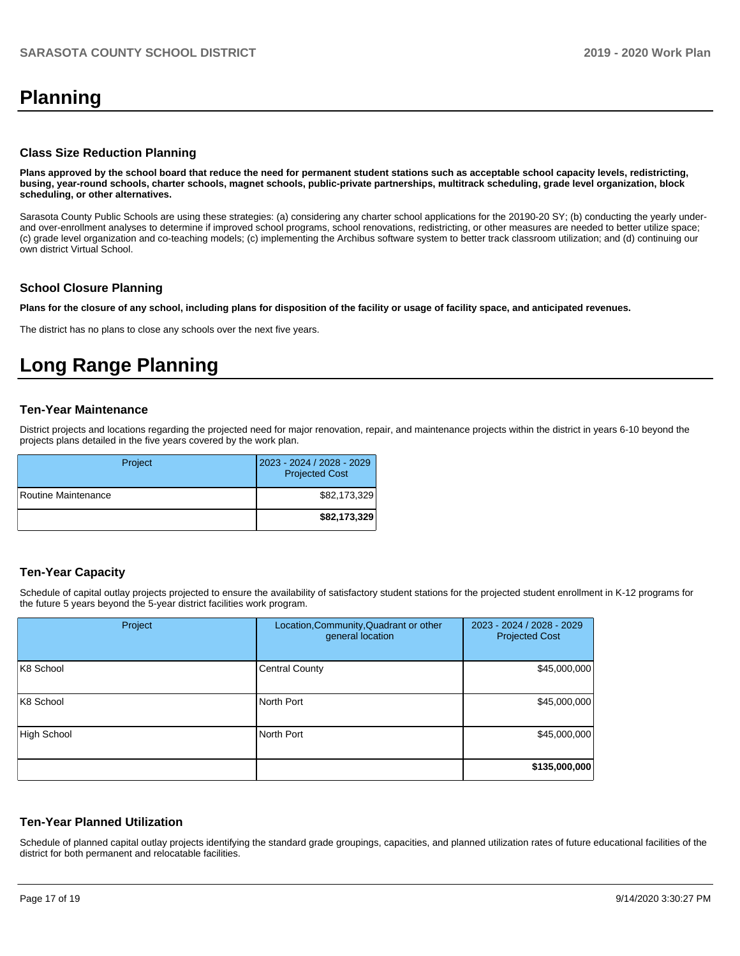# **Planning**

#### **Class Size Reduction Planning**

**Plans approved by the school board that reduce the need for permanent student stations such as acceptable school capacity levels, redistricting, busing, year-round schools, charter schools, magnet schools, public-private partnerships, multitrack scheduling, grade level organization, block scheduling, or other alternatives.**

Sarasota County Public Schools are using these strategies: (a) considering any charter school applications for the 20190-20 SY; (b) conducting the yearly underand over-enrollment analyses to determine if improved school programs, school renovations, redistricting, or other measures are needed to better utilize space; (c) grade level organization and co-teaching models; (c) implementing the Archibus software system to better track classroom utilization; and (d) continuing our own district Virtual School.

#### **School Closure Planning**

**Plans for the closure of any school, including plans for disposition of the facility or usage of facility space, and anticipated revenues.** 

The district has no plans to close any schools over the next five years.

# **Long Range Planning**

#### **Ten-Year Maintenance**

District projects and locations regarding the projected need for major renovation, repair, and maintenance projects within the district in years 6-10 beyond the projects plans detailed in the five years covered by the work plan.

| Project             | 2023 - 2024 / 2028 - 2029<br><b>Projected Cost</b> |
|---------------------|----------------------------------------------------|
| Routine Maintenance | \$82,173,329                                       |
|                     | \$82,173,329                                       |

## **Ten-Year Capacity**

Schedule of capital outlay projects projected to ensure the availability of satisfactory student stations for the projected student enrollment in K-12 programs for the future 5 years beyond the 5-year district facilities work program.

| Project            | Location, Community, Quadrant or other<br>general location | 2023 - 2024 / 2028 - 2029<br><b>Projected Cost</b> |
|--------------------|------------------------------------------------------------|----------------------------------------------------|
| K8 School          | <b>Central County</b>                                      | \$45,000,000                                       |
| K8 School          | North Port                                                 | \$45,000,000                                       |
| <b>High School</b> | North Port                                                 | \$45,000,000                                       |
|                    |                                                            | \$135,000,000                                      |

### **Ten-Year Planned Utilization**

Schedule of planned capital outlay projects identifying the standard grade groupings, capacities, and planned utilization rates of future educational facilities of the district for both permanent and relocatable facilities.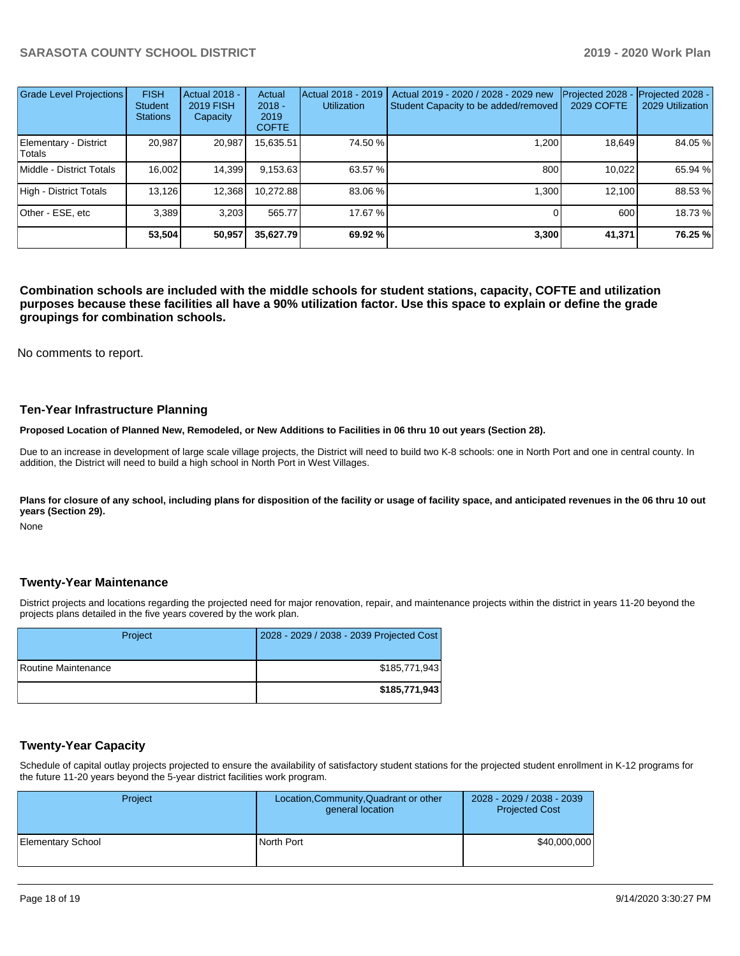| <b>Grade Level Projections</b>  | <b>FISH</b><br><b>Student</b><br><b>Stations</b> | Actual 2018 -<br><b>2019 FISH</b><br>Capacity | Actual<br>$2018 -$<br>2019<br><b>COFTE</b> | Actual 2018 - 2019<br><b>Utilization</b> | Actual 2019 - 2020 / 2028 - 2029 new<br>Student Capacity to be added/removed | Projected 2028<br><b>2029 COFTE</b> | Projected 2028 -<br>2029 Utilization |
|---------------------------------|--------------------------------------------------|-----------------------------------------------|--------------------------------------------|------------------------------------------|------------------------------------------------------------------------------|-------------------------------------|--------------------------------------|
| Elementary - District<br>Totals | 20.987                                           | 20,987                                        | 15,635.51                                  | 74.50 %                                  | 1.200                                                                        | 18.649                              | 84.05 %                              |
| Middle - District Totals        | 16.002                                           | 14,399                                        | 9,153.63                                   | 63.57 %                                  | 800                                                                          | 10.022                              | 65.94 %                              |
| High - District Totals          | 13,126                                           | 12,368                                        | 10,272.88                                  | 83.06 %                                  | 1.300                                                                        | 12.100                              | 88.53%                               |
| Other - ESE, etc                | 3.389                                            | 3.203                                         | 565.77                                     | 17.67 %                                  |                                                                              | 600                                 | 18.73 %                              |
|                                 | 53,504                                           | 50.957                                        | 35,627.79                                  | 69.92 %                                  | 3,300                                                                        | 41,371                              | 76.25 %                              |

**Combination schools are included with the middle schools for student stations, capacity, COFTE and utilization purposes because these facilities all have a 90% utilization factor. Use this space to explain or define the grade groupings for combination schools.** 

No comments to report.

#### **Ten-Year Infrastructure Planning**

**Proposed Location of Planned New, Remodeled, or New Additions to Facilities in 06 thru 10 out years (Section 28).**

Due to an increase in development of large scale village projects, the District will need to build two K-8 schools: one in North Port and one in central county. In addition, the District will need to build a high school in North Port in West Villages.

Plans for closure of any school, including plans for disposition of the facility or usage of facility space, and anticipated revenues in the 06 thru 10 out **years (Section 29).**

None

#### **Twenty-Year Maintenance**

District projects and locations regarding the projected need for major renovation, repair, and maintenance projects within the district in years 11-20 beyond the projects plans detailed in the five years covered by the work plan.

| Project             | 2028 - 2029 / 2038 - 2039 Projected Cost |
|---------------------|------------------------------------------|
| Routine Maintenance | \$185,771,943                            |
|                     | \$185,771,943                            |

### **Twenty-Year Capacity**

Schedule of capital outlay projects projected to ensure the availability of satisfactory student stations for the projected student enrollment in K-12 programs for the future 11-20 years beyond the 5-year district facilities work program.

| Project                  | Location, Community, Quadrant or other<br>general location | 2028 - 2029 / 2038 - 2039<br><b>Projected Cost</b> |
|--------------------------|------------------------------------------------------------|----------------------------------------------------|
| <b>Elementary School</b> | North Port                                                 | \$40,000,000                                       |